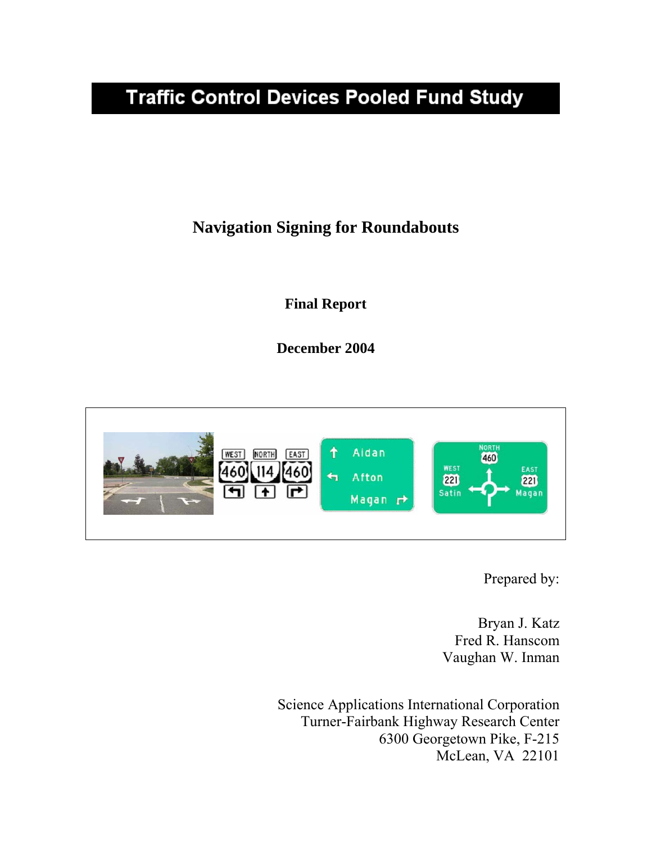# **Traffic Control Devices Pooled Fund Study**

**Navigation Signing for Roundabouts** 

**Final Report** 

**December 2004** 



Prepared by:

Bryan J. Katz Fred R. Hanscom Vaughan W. Inman

Science Applications International Corporation Turner-Fairbank Highway Research Center 6300 Georgetown Pike, F-215 McLean, VA 22101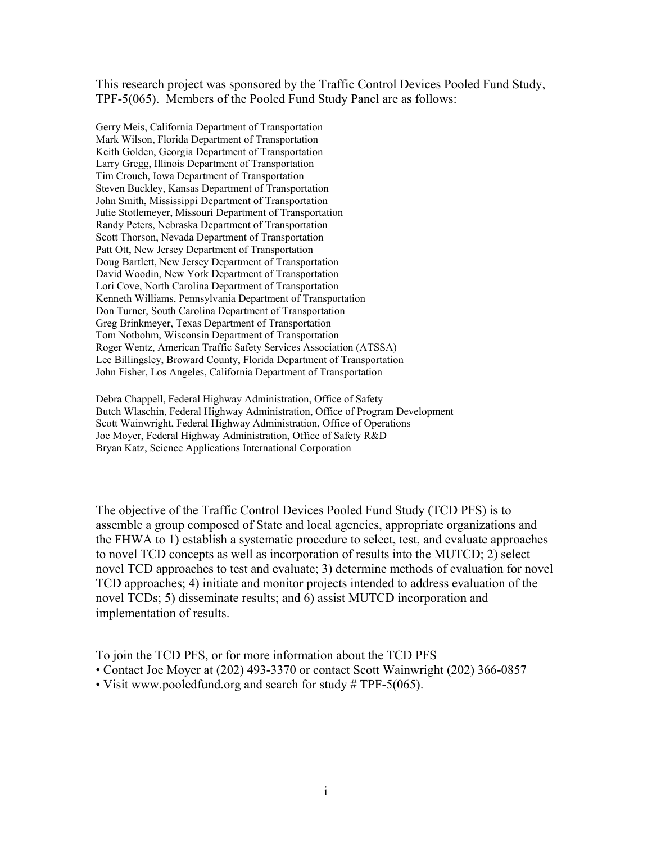This research project was sponsored by the Traffic Control Devices Pooled Fund Study, TPF-5(065). Members of the Pooled Fund Study Panel are as follows:

Gerry Meis, California Department of Transportation Mark Wilson, Florida Department of Transportation Keith Golden, Georgia Department of Transportation Larry Gregg, Illinois Department of Transportation Tim Crouch, Iowa Department of Transportation Steven Buckley, Kansas Department of Transportation John Smith, Mississippi Department of Transportation Julie Stotlemeyer, Missouri Department of Transportation Randy Peters, Nebraska Department of Transportation Scott Thorson, Nevada Department of Transportation Patt Ott, New Jersey Department of Transportation Doug Bartlett, New Jersey Department of Transportation David Woodin, New York Department of Transportation Lori Cove, North Carolina Department of Transportation Kenneth Williams, Pennsylvania Department of Transportation Don Turner, South Carolina Department of Transportation Greg Brinkmeyer, Texas Department of Transportation Tom Notbohm, Wisconsin Department of Transportation Roger Wentz, American Traffic Safety Services Association (ATSSA) Lee Billingsley, Broward County, Florida Department of Transportation John Fisher, Los Angeles, California Department of Transportation

Debra Chappell, Federal Highway Administration, Office of Safety Butch Wlaschin, Federal Highway Administration, Office of Program Development Scott Wainwright, Federal Highway Administration, Office of Operations Joe Moyer, Federal Highway Administration, Office of Safety R&D Bryan Katz, Science Applications International Corporation

The objective of the Traffic Control Devices Pooled Fund Study (TCD PFS) is to assemble a group composed of State and local agencies, appropriate organizations and the FHWA to 1) establish a systematic procedure to select, test, and evaluate approaches to novel TCD concepts as well as incorporation of results into the MUTCD; 2) select novel TCD approaches to test and evaluate; 3) determine methods of evaluation for novel TCD approaches; 4) initiate and monitor projects intended to address evaluation of the novel TCDs; 5) disseminate results; and 6) assist MUTCD incorporation and implementation of results.

To join the TCD PFS, or for more information about the TCD PFS

- Contact Joe Moyer at (202) 493-3370 or contact Scott Wainwright (202) 366-0857
- Visit www.pooledfund.org and search for study # TPF-5(065).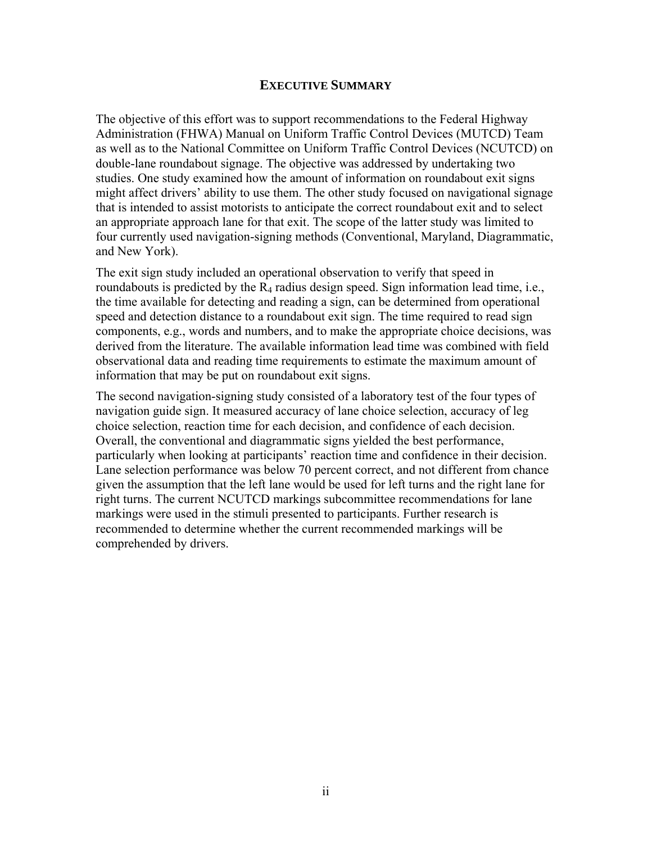#### **EXECUTIVE SUMMARY**

The objective of this effort was to support recommendations to the Federal Highway Administration (FHWA) Manual on Uniform Traffic Control Devices (MUTCD) Team as well as to the National Committee on Uniform Traffic Control Devices (NCUTCD) on double-lane roundabout signage. The objective was addressed by undertaking two studies. One study examined how the amount of information on roundabout exit signs might affect drivers' ability to use them. The other study focused on navigational signage that is intended to assist motorists to anticipate the correct roundabout exit and to select an appropriate approach lane for that exit. The scope of the latter study was limited to four currently used navigation-signing methods (Conventional, Maryland, Diagrammatic, and New York).

The exit sign study included an operational observation to verify that speed in roundabouts is predicted by the  $R_4$  radius design speed. Sign information lead time, i.e., the time available for detecting and reading a sign, can be determined from operational speed and detection distance to a roundabout exit sign. The time required to read sign components, e.g., words and numbers, and to make the appropriate choice decisions, was derived from the literature. The available information lead time was combined with field observational data and reading time requirements to estimate the maximum amount of information that may be put on roundabout exit signs.

The second navigation-signing study consisted of a laboratory test of the four types of navigation guide sign. It measured accuracy of lane choice selection, accuracy of leg choice selection, reaction time for each decision, and confidence of each decision. Overall, the conventional and diagrammatic signs yielded the best performance, particularly when looking at participants' reaction time and confidence in their decision. Lane selection performance was below 70 percent correct, and not different from chance given the assumption that the left lane would be used for left turns and the right lane for right turns. The current NCUTCD markings subcommittee recommendations for lane markings were used in the stimuli presented to participants. Further research is recommended to determine whether the current recommended markings will be comprehended by drivers.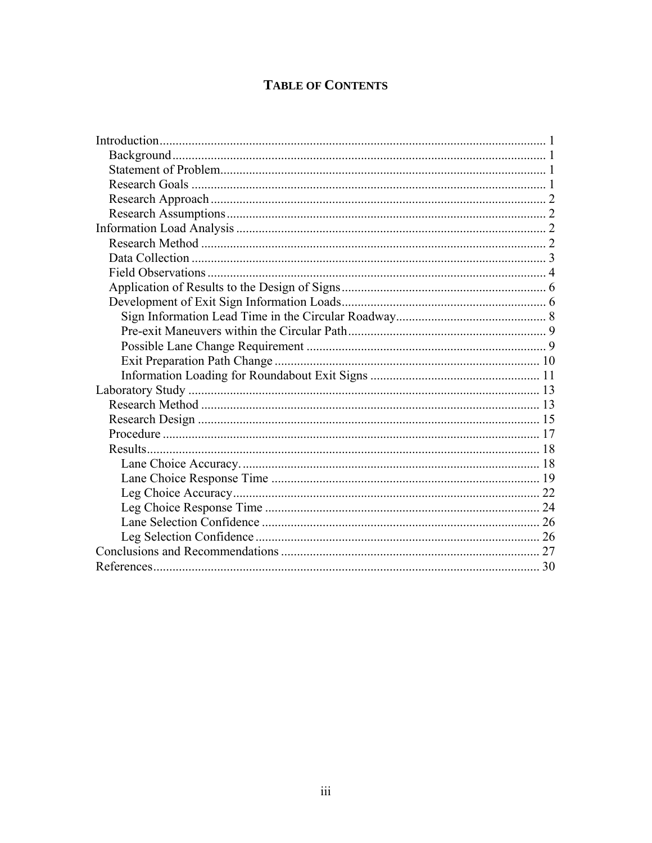# **TABLE OF CONTENTS**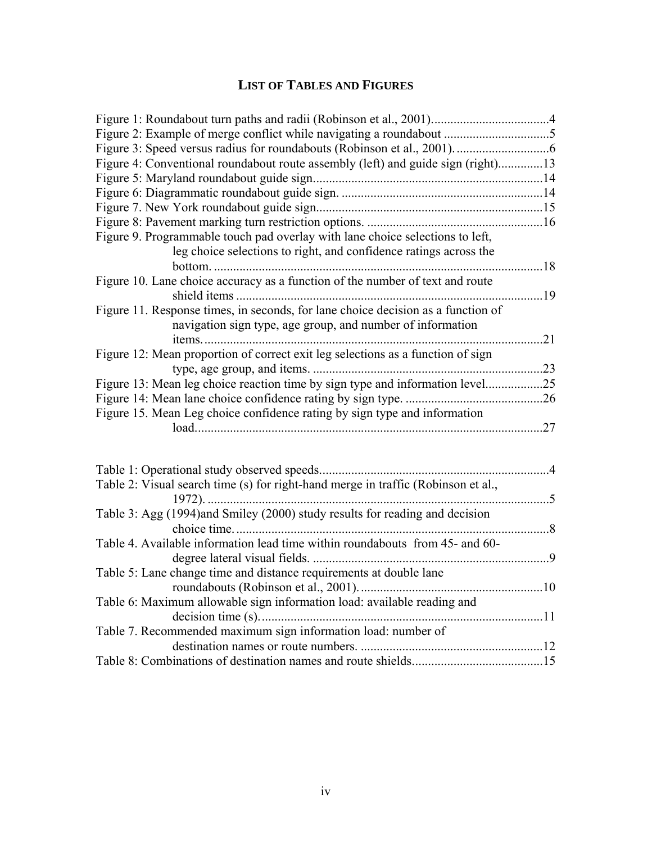# **LIST OF TABLES AND FIGURES**

| Figure 4: Conventional roundabout route assembly (left) and guide sign (right)13<br>Figure 9. Programmable touch pad overlay with lane choice selections to left,<br>leg choice selections to right, and confidence ratings across the<br>bottom.<br>. 18<br>Figure 10. Lane choice accuracy as a function of the number of text and route<br>Figure 11. Response times, in seconds, for lane choice decision as a function of<br>navigation sign type, age group, and number of information<br>Figure 12: Mean proportion of correct exit leg selections as a function of sign<br>Figure 13: Mean leg choice reaction time by sign type and information level25<br>Figure 15. Mean Leg choice confidence rating by sign type and information<br>Table 2: Visual search time (s) for right-hand merge in traffic (Robinson et al.,<br>Table 3: Agg (1994) and Smiley (2000) study results for reading and decision<br>Table 4. Available information lead time within roundabouts from 45- and 60-<br>Table 5: Lane change time and distance requirements at double lane<br>Table 6: Maximum allowable sign information load: available reading and |                                                               |     |
|-----------------------------------------------------------------------------------------------------------------------------------------------------------------------------------------------------------------------------------------------------------------------------------------------------------------------------------------------------------------------------------------------------------------------------------------------------------------------------------------------------------------------------------------------------------------------------------------------------------------------------------------------------------------------------------------------------------------------------------------------------------------------------------------------------------------------------------------------------------------------------------------------------------------------------------------------------------------------------------------------------------------------------------------------------------------------------------------------------------------------------------------------------|---------------------------------------------------------------|-----|
|                                                                                                                                                                                                                                                                                                                                                                                                                                                                                                                                                                                                                                                                                                                                                                                                                                                                                                                                                                                                                                                                                                                                                     |                                                               |     |
|                                                                                                                                                                                                                                                                                                                                                                                                                                                                                                                                                                                                                                                                                                                                                                                                                                                                                                                                                                                                                                                                                                                                                     |                                                               |     |
|                                                                                                                                                                                                                                                                                                                                                                                                                                                                                                                                                                                                                                                                                                                                                                                                                                                                                                                                                                                                                                                                                                                                                     |                                                               |     |
|                                                                                                                                                                                                                                                                                                                                                                                                                                                                                                                                                                                                                                                                                                                                                                                                                                                                                                                                                                                                                                                                                                                                                     |                                                               |     |
|                                                                                                                                                                                                                                                                                                                                                                                                                                                                                                                                                                                                                                                                                                                                                                                                                                                                                                                                                                                                                                                                                                                                                     |                                                               |     |
|                                                                                                                                                                                                                                                                                                                                                                                                                                                                                                                                                                                                                                                                                                                                                                                                                                                                                                                                                                                                                                                                                                                                                     |                                                               |     |
|                                                                                                                                                                                                                                                                                                                                                                                                                                                                                                                                                                                                                                                                                                                                                                                                                                                                                                                                                                                                                                                                                                                                                     |                                                               |     |
|                                                                                                                                                                                                                                                                                                                                                                                                                                                                                                                                                                                                                                                                                                                                                                                                                                                                                                                                                                                                                                                                                                                                                     |                                                               |     |
|                                                                                                                                                                                                                                                                                                                                                                                                                                                                                                                                                                                                                                                                                                                                                                                                                                                                                                                                                                                                                                                                                                                                                     |                                                               |     |
|                                                                                                                                                                                                                                                                                                                                                                                                                                                                                                                                                                                                                                                                                                                                                                                                                                                                                                                                                                                                                                                                                                                                                     |                                                               |     |
|                                                                                                                                                                                                                                                                                                                                                                                                                                                                                                                                                                                                                                                                                                                                                                                                                                                                                                                                                                                                                                                                                                                                                     |                                                               |     |
|                                                                                                                                                                                                                                                                                                                                                                                                                                                                                                                                                                                                                                                                                                                                                                                                                                                                                                                                                                                                                                                                                                                                                     |                                                               |     |
|                                                                                                                                                                                                                                                                                                                                                                                                                                                                                                                                                                                                                                                                                                                                                                                                                                                                                                                                                                                                                                                                                                                                                     |                                                               |     |
|                                                                                                                                                                                                                                                                                                                                                                                                                                                                                                                                                                                                                                                                                                                                                                                                                                                                                                                                                                                                                                                                                                                                                     |                                                               |     |
|                                                                                                                                                                                                                                                                                                                                                                                                                                                                                                                                                                                                                                                                                                                                                                                                                                                                                                                                                                                                                                                                                                                                                     |                                                               | .21 |
|                                                                                                                                                                                                                                                                                                                                                                                                                                                                                                                                                                                                                                                                                                                                                                                                                                                                                                                                                                                                                                                                                                                                                     |                                                               |     |
|                                                                                                                                                                                                                                                                                                                                                                                                                                                                                                                                                                                                                                                                                                                                                                                                                                                                                                                                                                                                                                                                                                                                                     |                                                               |     |
|                                                                                                                                                                                                                                                                                                                                                                                                                                                                                                                                                                                                                                                                                                                                                                                                                                                                                                                                                                                                                                                                                                                                                     |                                                               |     |
|                                                                                                                                                                                                                                                                                                                                                                                                                                                                                                                                                                                                                                                                                                                                                                                                                                                                                                                                                                                                                                                                                                                                                     |                                                               |     |
|                                                                                                                                                                                                                                                                                                                                                                                                                                                                                                                                                                                                                                                                                                                                                                                                                                                                                                                                                                                                                                                                                                                                                     |                                                               |     |
|                                                                                                                                                                                                                                                                                                                                                                                                                                                                                                                                                                                                                                                                                                                                                                                                                                                                                                                                                                                                                                                                                                                                                     |                                                               |     |
|                                                                                                                                                                                                                                                                                                                                                                                                                                                                                                                                                                                                                                                                                                                                                                                                                                                                                                                                                                                                                                                                                                                                                     |                                                               |     |
|                                                                                                                                                                                                                                                                                                                                                                                                                                                                                                                                                                                                                                                                                                                                                                                                                                                                                                                                                                                                                                                                                                                                                     |                                                               |     |
|                                                                                                                                                                                                                                                                                                                                                                                                                                                                                                                                                                                                                                                                                                                                                                                                                                                                                                                                                                                                                                                                                                                                                     |                                                               |     |
|                                                                                                                                                                                                                                                                                                                                                                                                                                                                                                                                                                                                                                                                                                                                                                                                                                                                                                                                                                                                                                                                                                                                                     |                                                               |     |
|                                                                                                                                                                                                                                                                                                                                                                                                                                                                                                                                                                                                                                                                                                                                                                                                                                                                                                                                                                                                                                                                                                                                                     |                                                               |     |
|                                                                                                                                                                                                                                                                                                                                                                                                                                                                                                                                                                                                                                                                                                                                                                                                                                                                                                                                                                                                                                                                                                                                                     |                                                               |     |
|                                                                                                                                                                                                                                                                                                                                                                                                                                                                                                                                                                                                                                                                                                                                                                                                                                                                                                                                                                                                                                                                                                                                                     |                                                               |     |
|                                                                                                                                                                                                                                                                                                                                                                                                                                                                                                                                                                                                                                                                                                                                                                                                                                                                                                                                                                                                                                                                                                                                                     |                                                               |     |
|                                                                                                                                                                                                                                                                                                                                                                                                                                                                                                                                                                                                                                                                                                                                                                                                                                                                                                                                                                                                                                                                                                                                                     |                                                               |     |
|                                                                                                                                                                                                                                                                                                                                                                                                                                                                                                                                                                                                                                                                                                                                                                                                                                                                                                                                                                                                                                                                                                                                                     |                                                               |     |
|                                                                                                                                                                                                                                                                                                                                                                                                                                                                                                                                                                                                                                                                                                                                                                                                                                                                                                                                                                                                                                                                                                                                                     |                                                               |     |
|                                                                                                                                                                                                                                                                                                                                                                                                                                                                                                                                                                                                                                                                                                                                                                                                                                                                                                                                                                                                                                                                                                                                                     |                                                               |     |
|                                                                                                                                                                                                                                                                                                                                                                                                                                                                                                                                                                                                                                                                                                                                                                                                                                                                                                                                                                                                                                                                                                                                                     |                                                               |     |
|                                                                                                                                                                                                                                                                                                                                                                                                                                                                                                                                                                                                                                                                                                                                                                                                                                                                                                                                                                                                                                                                                                                                                     | Table 7. Recommended maximum sign information load: number of |     |
|                                                                                                                                                                                                                                                                                                                                                                                                                                                                                                                                                                                                                                                                                                                                                                                                                                                                                                                                                                                                                                                                                                                                                     |                                                               |     |

Table 8: Combinations of destination names and route shields.........................................15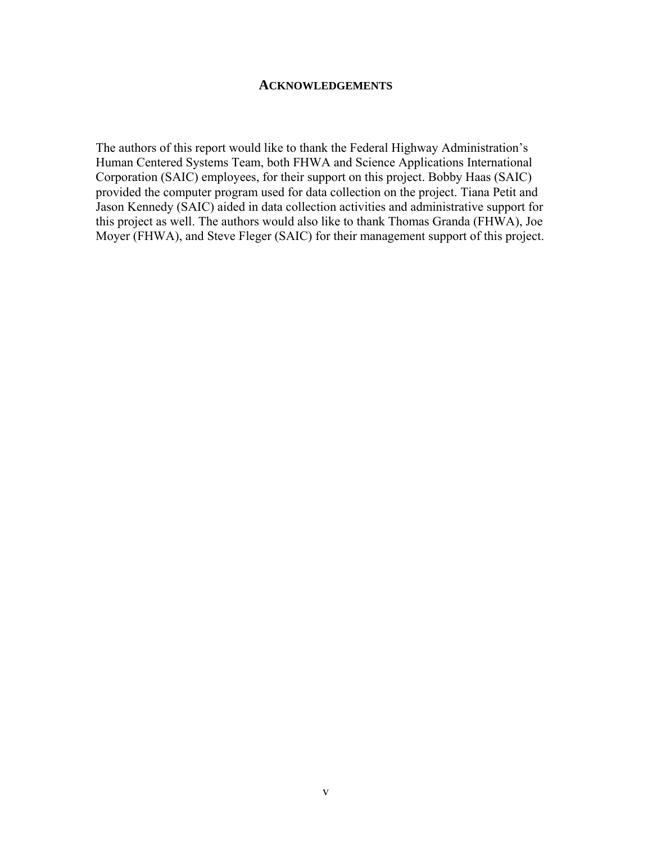#### **ACKNOWLEDGEMENTS**

The authors of this report would like to thank the Federal Highway Administration's Human Centered Systems Team, both FHWA and Science Applications International Corporation (SAIC) employees, for their support on this project. Bobby Haas (SAIC) provided the computer program used for data collection on the project. Tiana Petit and Jason Kennedy (SAIC) aided in data collection activities and administrative support for this project as well. The authors would also like to thank Thomas Granda (FHWA), Joe Moyer (FHWA), and Steve Fleger (SAIC) for their management support of this project.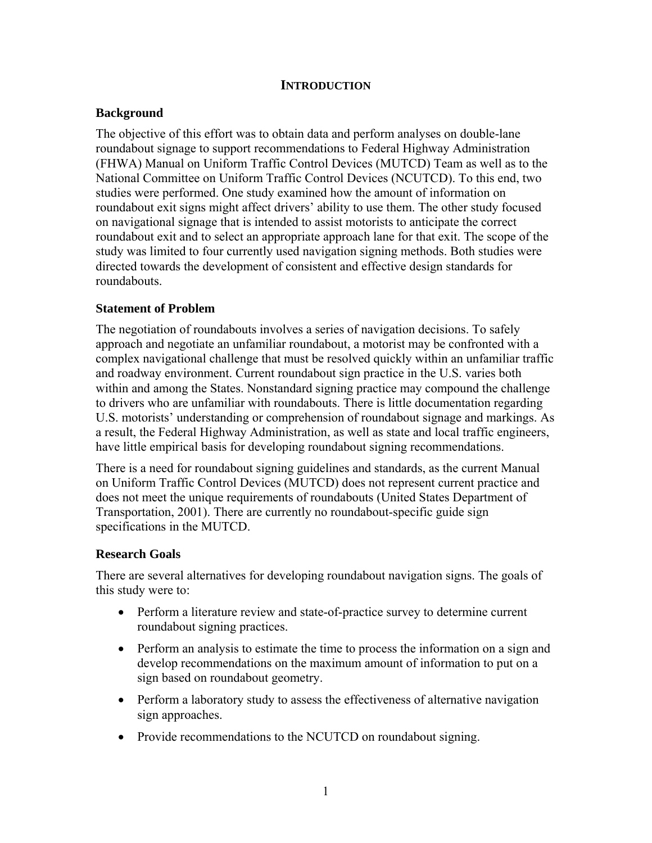#### **INTRODUCTION**

## **Background**

The objective of this effort was to obtain data and perform analyses on double-lane roundabout signage to support recommendations to Federal Highway Administration (FHWA) Manual on Uniform Traffic Control Devices (MUTCD) Team as well as to the National Committee on Uniform Traffic Control Devices (NCUTCD). To this end, two studies were performed. One study examined how the amount of information on roundabout exit signs might affect drivers' ability to use them. The other study focused on navigational signage that is intended to assist motorists to anticipate the correct roundabout exit and to select an appropriate approach lane for that exit. The scope of the study was limited to four currently used navigation signing methods. Both studies were directed towards the development of consistent and effective design standards for roundabouts.

## **Statement of Problem**

The negotiation of roundabouts involves a series of navigation decisions. To safely approach and negotiate an unfamiliar roundabout, a motorist may be confronted with a complex navigational challenge that must be resolved quickly within an unfamiliar traffic and roadway environment. Current roundabout sign practice in the U.S. varies both within and among the States. Nonstandard signing practice may compound the challenge to drivers who are unfamiliar with roundabouts. There is little documentation regarding U.S. motorists' understanding or comprehension of roundabout signage and markings. As a result, the Federal Highway Administration, as well as state and local traffic engineers, have little empirical basis for developing roundabout signing recommendations.

There is a need for roundabout signing guidelines and standards, as the current Manual on Uniform Traffic Control Devices (MUTCD) does not represent current practice and does not meet the unique requirements of roundabouts (United States Department of Transportation, 2001). There are currently no roundabout-specific guide sign specifications in the MUTCD.

#### **Research Goals**

There are several alternatives for developing roundabout navigation signs. The goals of this study were to:

- Perform a literature review and state-of-practice survey to determine current roundabout signing practices.
- Perform an analysis to estimate the time to process the information on a sign and develop recommendations on the maximum amount of information to put on a sign based on roundabout geometry.
- Perform a laboratory study to assess the effectiveness of alternative navigation sign approaches.
- Provide recommendations to the NCUTCD on roundabout signing.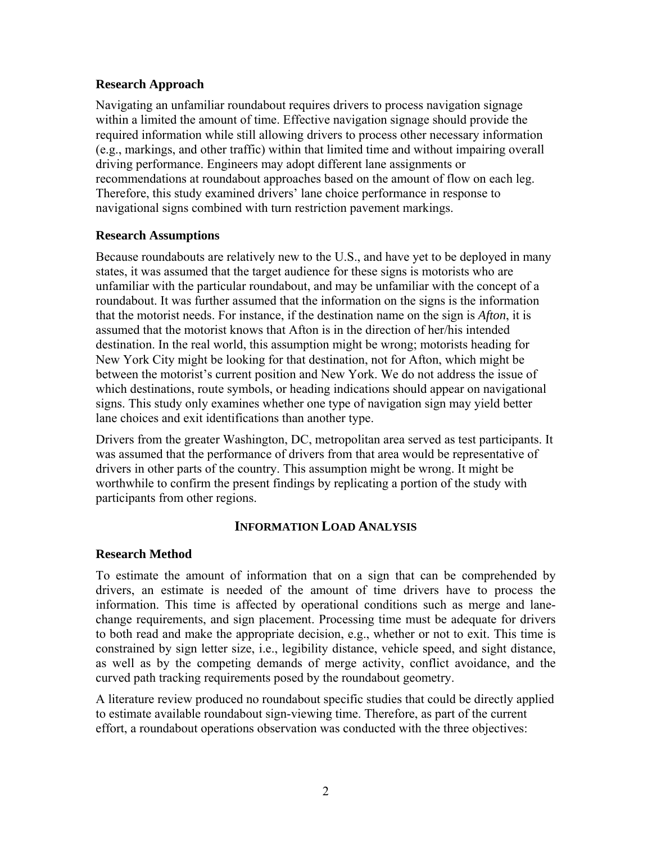## **Research Approach**

Navigating an unfamiliar roundabout requires drivers to process navigation signage within a limited the amount of time. Effective navigation signage should provide the required information while still allowing drivers to process other necessary information (e.g., markings, and other traffic) within that limited time and without impairing overall driving performance. Engineers may adopt different lane assignments or recommendations at roundabout approaches based on the amount of flow on each leg. Therefore, this study examined drivers' lane choice performance in response to navigational signs combined with turn restriction pavement markings.

## **Research Assumptions**

Because roundabouts are relatively new to the U.S., and have yet to be deployed in many states, it was assumed that the target audience for these signs is motorists who are unfamiliar with the particular roundabout, and may be unfamiliar with the concept of a roundabout. It was further assumed that the information on the signs is the information that the motorist needs. For instance, if the destination name on the sign is *Afton*, it is assumed that the motorist knows that Afton is in the direction of her/his intended destination. In the real world, this assumption might be wrong; motorists heading for New York City might be looking for that destination, not for Afton, which might be between the motorist's current position and New York. We do not address the issue of which destinations, route symbols, or heading indications should appear on navigational signs. This study only examines whether one type of navigation sign may yield better lane choices and exit identifications than another type.

Drivers from the greater Washington, DC, metropolitan area served as test participants. It was assumed that the performance of drivers from that area would be representative of drivers in other parts of the country. This assumption might be wrong. It might be worthwhile to confirm the present findings by replicating a portion of the study with participants from other regions.

## **INFORMATION LOAD ANALYSIS**

## **Research Method**

To estimate the amount of information that on a sign that can be comprehended by drivers, an estimate is needed of the amount of time drivers have to process the information. This time is affected by operational conditions such as merge and lanechange requirements, and sign placement. Processing time must be adequate for drivers to both read and make the appropriate decision, e.g., whether or not to exit. This time is constrained by sign letter size, i.e., legibility distance, vehicle speed, and sight distance, as well as by the competing demands of merge activity, conflict avoidance, and the curved path tracking requirements posed by the roundabout geometry.

A literature review produced no roundabout specific studies that could be directly applied to estimate available roundabout sign-viewing time. Therefore, as part of the current effort, a roundabout operations observation was conducted with the three objectives: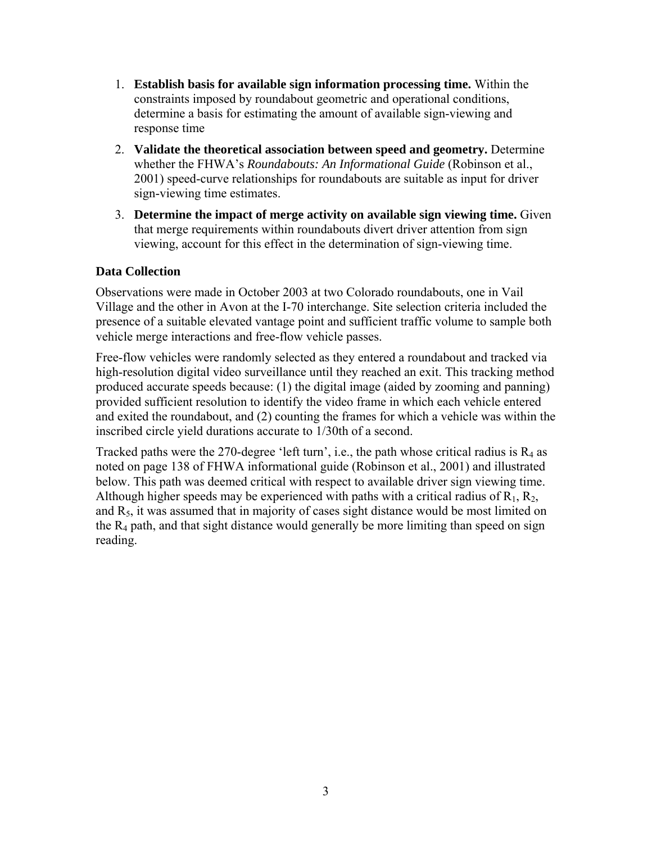- 1. **Establish basis for available sign information processing time.** Within the constraints imposed by roundabout geometric and operational conditions, determine a basis for estimating the amount of available sign-viewing and response time
- 2. **Validate the theoretical association between speed and geometry.** Determine whether the FHWA's *Roundabouts: An Informational Guide* (Robinson et al., 2001) speed-curve relationships for roundabouts are suitable as input for driver sign-viewing time estimates.
- 3. **Determine the impact of merge activity on available sign viewing time.** Given that merge requirements within roundabouts divert driver attention from sign viewing, account for this effect in the determination of sign-viewing time.

## **Data Collection**

Observations were made in October 2003 at two Colorado roundabouts, one in Vail Village and the other in Avon at the I-70 interchange. Site selection criteria included the presence of a suitable elevated vantage point and sufficient traffic volume to sample both vehicle merge interactions and free-flow vehicle passes.

Free-flow vehicles were randomly selected as they entered a roundabout and tracked via high-resolution digital video surveillance until they reached an exit. This tracking method produced accurate speeds because: (1) the digital image (aided by zooming and panning) provided sufficient resolution to identify the video frame in which each vehicle entered and exited the roundabout, and (2) counting the frames for which a vehicle was within the inscribed circle yield durations accurate to 1/30th of a second.

Tracked paths were the 270-degree 'left turn', i.e., the path whose critical radius is  $R_4$  as noted on page 138 of FHWA informational guide (Robinson et al., 2001) and illustrated below. This path was deemed critical with respect to available driver sign viewing time. Although higher speeds may be experienced with paths with a critical radius of  $R_1, R_2, R_3$ and  $R<sub>5</sub>$ , it was assumed that in majority of cases sight distance would be most limited on the  $R_4$  path, and that sight distance would generally be more limiting than speed on sign reading.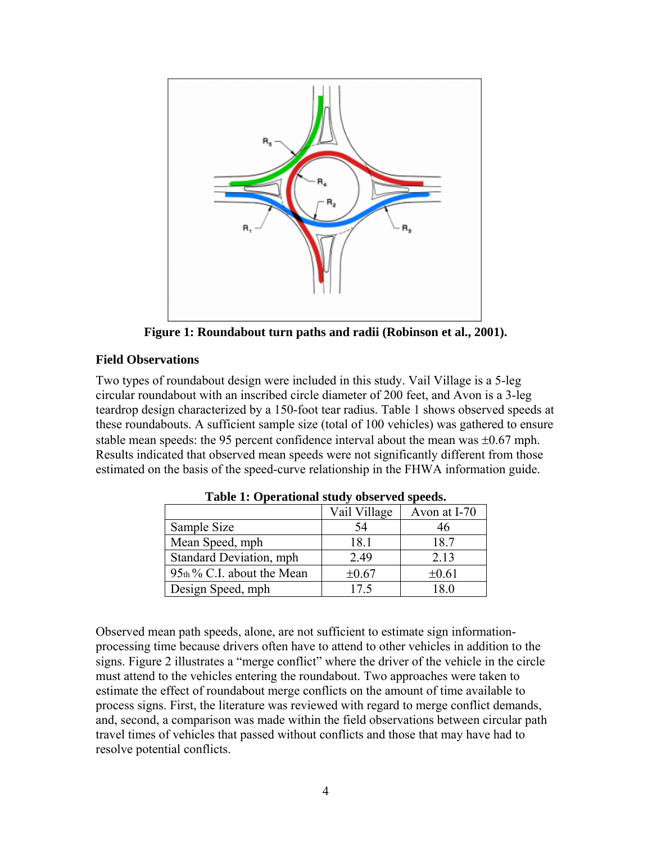

**Figure 1: Roundabout turn paths and radii (Robinson et al., 2001).** 

## **Field Observations**

Two types of roundabout design were included in this study. Vail Village is a 5-leg circular roundabout with an inscribed circle diameter of 200 feet, and Avon is a 3-leg teardrop design characterized by a 150-foot tear radius. Table 1 shows observed speeds at these roundabouts. A sufficient sample size (total of 100 vehicles) was gathered to ensure stable mean speeds: the 95 percent confidence interval about the mean was  $\pm 0.67$  mph. Results indicated that observed mean speeds were not significantly different from those estimated on the basis of the speed-curve relationship in the FHWA information guide.

|                              | Vail Village | Avon at I-70 |
|------------------------------|--------------|--------------|
| Sample Size                  | 54           | 46           |
| Mean Speed, mph              | 18.1         | 18.7         |
| Standard Deviation, mph      | 2.49         | 2.13         |
| $95th$ % C.I. about the Mean | $\pm 0.67$   | $\pm 0.61$   |
| Design Speed, mph            | 175          | 18 O         |

**Table 1: Operational study observed speeds.** 

Observed mean path speeds, alone, are not sufficient to estimate sign informationprocessing time because drivers often have to attend to other vehicles in addition to the signs. Figure 2 illustrates a "merge conflict" where the driver of the vehicle in the circle must attend to the vehicles entering the roundabout. Two approaches were taken to estimate the effect of roundabout merge conflicts on the amount of time available to process signs. First, the literature was reviewed with regard to merge conflict demands, and, second, a comparison was made within the field observations between circular path travel times of vehicles that passed without conflicts and those that may have had to resolve potential conflicts.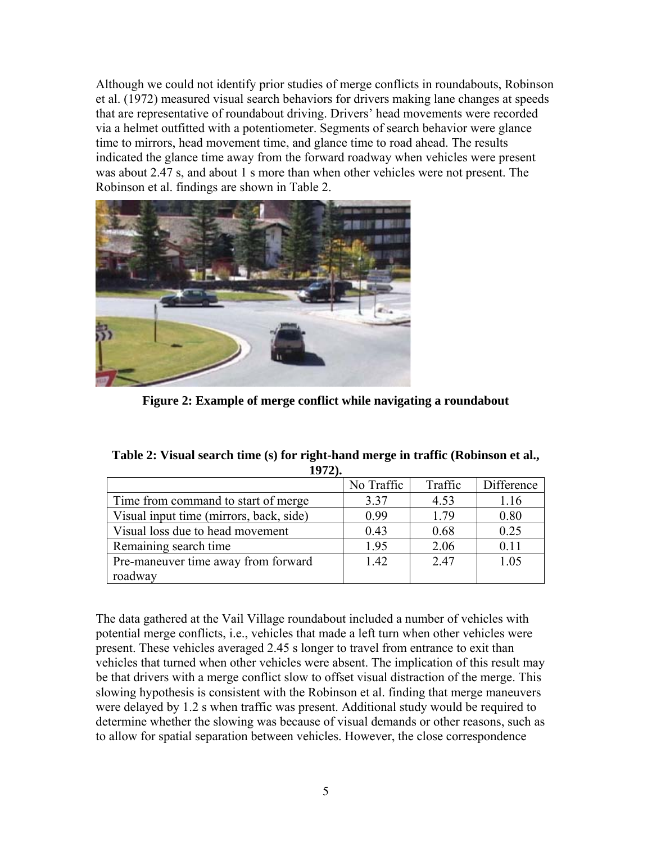Although we could not identify prior studies of merge conflicts in roundabouts, Robinson et al. (1972) measured visual search behaviors for drivers making lane changes at speeds that are representative of roundabout driving. Drivers' head movements were recorded via a helmet outfitted with a potentiometer. Segments of search behavior were glance time to mirrors, head movement time, and glance time to road ahead. The results indicated the glance time away from the forward roadway when vehicles were present was about 2.47 s, and about 1 s more than when other vehicles were not present. The Robinson et al. findings are shown in Table 2.



**Figure 2: Example of merge conflict while navigating a roundabout** 

| $-1/1 - 1$                              |            |         |            |
|-----------------------------------------|------------|---------|------------|
|                                         | No Traffic | Traffic | Difference |
| Time from command to start of merge     | 3.37       | 4.53    | 1.16       |
| Visual input time (mirrors, back, side) | 0.99       | 1.79    | 0.80       |
| Visual loss due to head movement        | 0.43       | 0.68    | 0.25       |
| Remaining search time                   | 1.95       | 2.06    | 0.11       |
| Pre-maneuver time away from forward     | 1.42       | 2.47    | 1.05       |
| roadway                                 |            |         |            |

**Table 2: Visual search time (s) for right-hand merge in traffic (Robinson et al., 1972).** 

The data gathered at the Vail Village roundabout included a number of vehicles with potential merge conflicts, i.e., vehicles that made a left turn when other vehicles were present. These vehicles averaged 2.45 s longer to travel from entrance to exit than vehicles that turned when other vehicles were absent. The implication of this result may be that drivers with a merge conflict slow to offset visual distraction of the merge. This slowing hypothesis is consistent with the Robinson et al. finding that merge maneuvers were delayed by 1.2 s when traffic was present. Additional study would be required to determine whether the slowing was because of visual demands or other reasons, such as to allow for spatial separation between vehicles. However, the close correspondence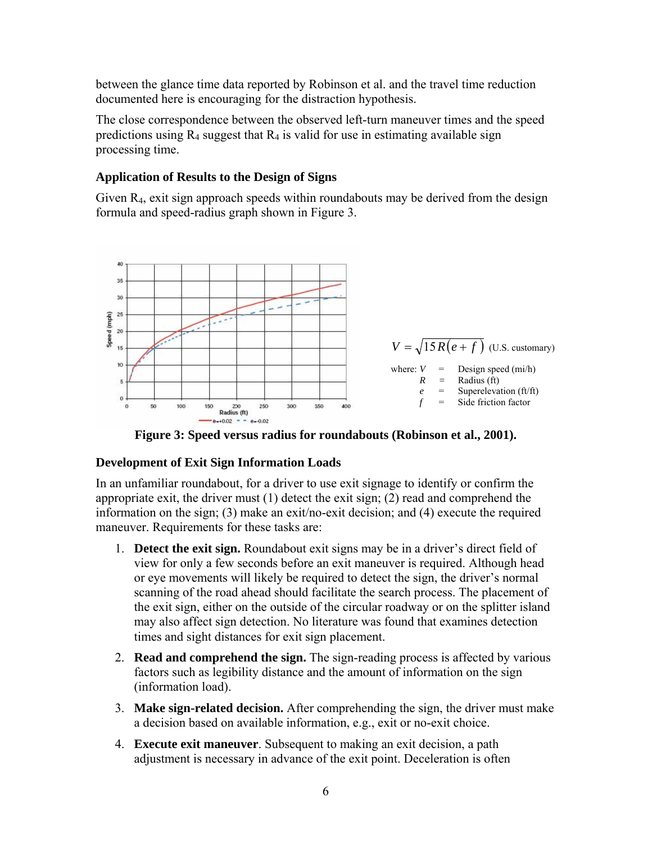between the glance time data reported by Robinson et al. and the travel time reduction documented here is encouraging for the distraction hypothesis.

The close correspondence between the observed left-turn maneuver times and the speed predictions using  $R_4$  suggest that  $R_4$  is valid for use in estimating available sign processing time.

## **Application of Results to the Design of Signs**

Given R4, exit sign approach speeds within roundabouts may be derived from the design formula and speed-radius graph shown in Figure 3.



**Figure 3: Speed versus radius for roundabouts (Robinson et al., 2001).** 

## **Development of Exit Sign Information Loads**

In an unfamiliar roundabout, for a driver to use exit signage to identify or confirm the appropriate exit, the driver must (1) detect the exit sign; (2) read and comprehend the information on the sign; (3) make an exit/no-exit decision; and (4) execute the required maneuver. Requirements for these tasks are:

- 1. **Detect the exit sign.** Roundabout exit signs may be in a driver's direct field of view for only a few seconds before an exit maneuver is required. Although head or eye movements will likely be required to detect the sign, the driver's normal scanning of the road ahead should facilitate the search process. The placement of the exit sign, either on the outside of the circular roadway or on the splitter island may also affect sign detection. No literature was found that examines detection times and sight distances for exit sign placement.
- 2. **Read and comprehend the sign.** The sign-reading process is affected by various factors such as legibility distance and the amount of information on the sign (information load).
- 3. **Make sign-related decision.** After comprehending the sign, the driver must make a decision based on available information, e.g., exit or no-exit choice.
- 4. **Execute exit maneuver**. Subsequent to making an exit decision, a path adjustment is necessary in advance of the exit point. Deceleration is often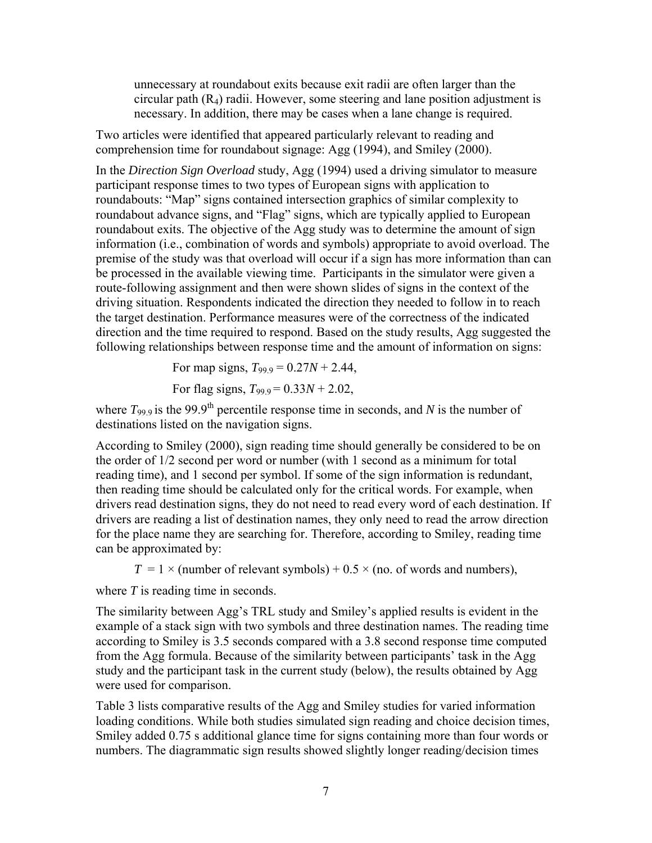unnecessary at roundabout exits because exit radii are often larger than the circular path  $(R_4)$  radii. However, some steering and lane position adjustment is necessary. In addition, there may be cases when a lane change is required.

Two articles were identified that appeared particularly relevant to reading and comprehension time for roundabout signage: Agg (1994), and Smiley (2000).

In the *Direction Sign Overload* study, Agg (1994) used a driving simulator to measure participant response times to two types of European signs with application to roundabouts: "Map" signs contained intersection graphics of similar complexity to roundabout advance signs, and "Flag" signs, which are typically applied to European roundabout exits. The objective of the Agg study was to determine the amount of sign information (i.e., combination of words and symbols) appropriate to avoid overload. The premise of the study was that overload will occur if a sign has more information than can be processed in the available viewing time. Participants in the simulator were given a route-following assignment and then were shown slides of signs in the context of the driving situation. Respondents indicated the direction they needed to follow in to reach the target destination. Performance measures were of the correctness of the indicated direction and the time required to respond. Based on the study results, Agg suggested the following relationships between response time and the amount of information on signs:

> For map signs,  $T_{99.9} = 0.27N + 2.44$ , For flag signs,  $T_{99.9} = 0.33N + 2.02$ ,

where  $T_{99.9}$  is the 99.9<sup>th</sup> percentile response time in seconds, and *N* is the number of destinations listed on the navigation signs.

According to Smiley (2000), sign reading time should generally be considered to be on the order of 1/2 second per word or number (with 1 second as a minimum for total reading time), and 1 second per symbol. If some of the sign information is redundant, then reading time should be calculated only for the critical words. For example, when drivers read destination signs, they do not need to read every word of each destination. If drivers are reading a list of destination names, they only need to read the arrow direction for the place name they are searching for. Therefore, according to Smiley, reading time can be approximated by:

 $T = 1 \times (number of relevant symbols) + 0.5 \times (no. of words and numbers),$ 

where *T* is reading time in seconds.

The similarity between Agg's TRL study and Smiley's applied results is evident in the example of a stack sign with two symbols and three destination names. The reading time according to Smiley is 3.5 seconds compared with a 3.8 second response time computed from the Agg formula. Because of the similarity between participants' task in the Agg study and the participant task in the current study (below), the results obtained by Agg were used for comparison.

Table 3 lists comparative results of the Agg and Smiley studies for varied information loading conditions. While both studies simulated sign reading and choice decision times, Smiley added 0.75 s additional glance time for signs containing more than four words or numbers. The diagrammatic sign results showed slightly longer reading/decision times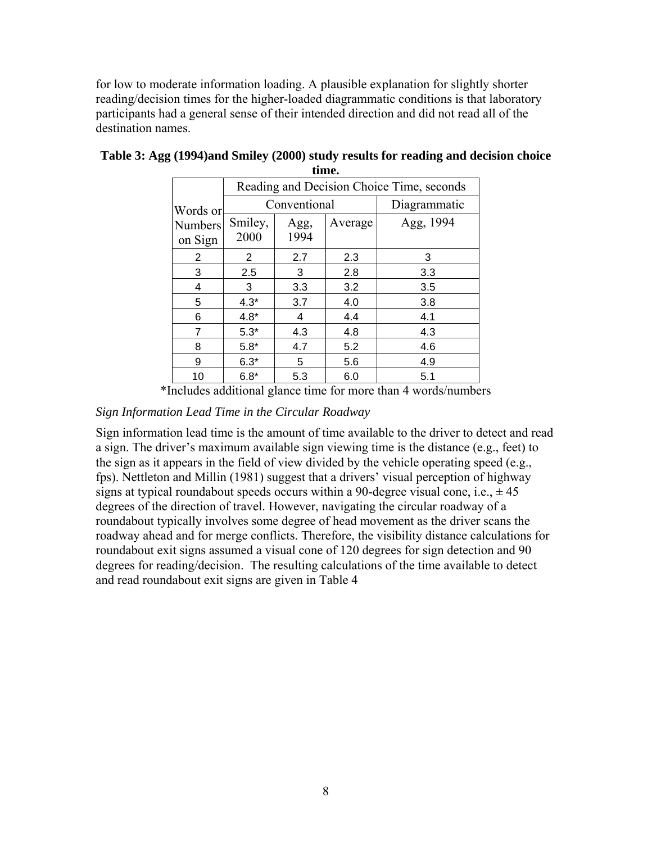for low to moderate information loading. A plausible explanation for slightly shorter reading/decision times for the higher-loaded diagrammatic conditions is that laboratory participants had a general sense of their intended direction and did not read all of the destination names.

|                           | Reading and Decision Choice Time, seconds |              |              |           |  |  |  |
|---------------------------|-------------------------------------------|--------------|--------------|-----------|--|--|--|
| Words or                  |                                           | Conventional | Diagrammatic |           |  |  |  |
| <b>Numbers</b><br>on Sign | Smiley,<br>2000                           | Agg,<br>1994 | Average      | Agg, 1994 |  |  |  |
| 2                         | 2                                         | 2.7          | 2.3          | 3         |  |  |  |
| 3                         | 2.5                                       | 3            | 2.8          | 3.3       |  |  |  |
| 4                         | 3                                         | 3.3          | 3.2          | 3.5       |  |  |  |
| 5                         | $4.3*$                                    | 3.7          | 4.0          | 3.8       |  |  |  |
| 6                         | $4.8*$                                    | 4            | 4.4          | 4.1       |  |  |  |
| 7                         | $5.3*$                                    | 4.3          | 4.8          | 4.3       |  |  |  |
| 8                         | $5.8*$                                    | 4.7          | 5.2          | 4.6       |  |  |  |
| 9                         | $6.3*$                                    | 5            | 5.6          | 4.9       |  |  |  |
| 10                        | $6.8*$                                    | 5.3          | 6.0          | 5.1       |  |  |  |

#### **Table 3: Agg (1994)and Smiley (2000) study results for reading and decision choice time.**

\*Includes additional glance time for more than 4 words/numbers

*Sign Information Lead Time in the Circular Roadway* 

Sign information lead time is the amount of time available to the driver to detect and read a sign. The driver's maximum available sign viewing time is the distance (e.g., feet) to the sign as it appears in the field of view divided by the vehicle operating speed (e.g., fps). Nettleton and Millin (1981) suggest that a drivers' visual perception of highway signs at typical roundabout speeds occurs within a 90-degree visual cone, i.e.,  $\pm 45$ degrees of the direction of travel. However, navigating the circular roadway of a roundabout typically involves some degree of head movement as the driver scans the roadway ahead and for merge conflicts. Therefore, the visibility distance calculations for roundabout exit signs assumed a visual cone of 120 degrees for sign detection and 90 degrees for reading/decision. The resulting calculations of the time available to detect and read roundabout exit signs are given in Table 4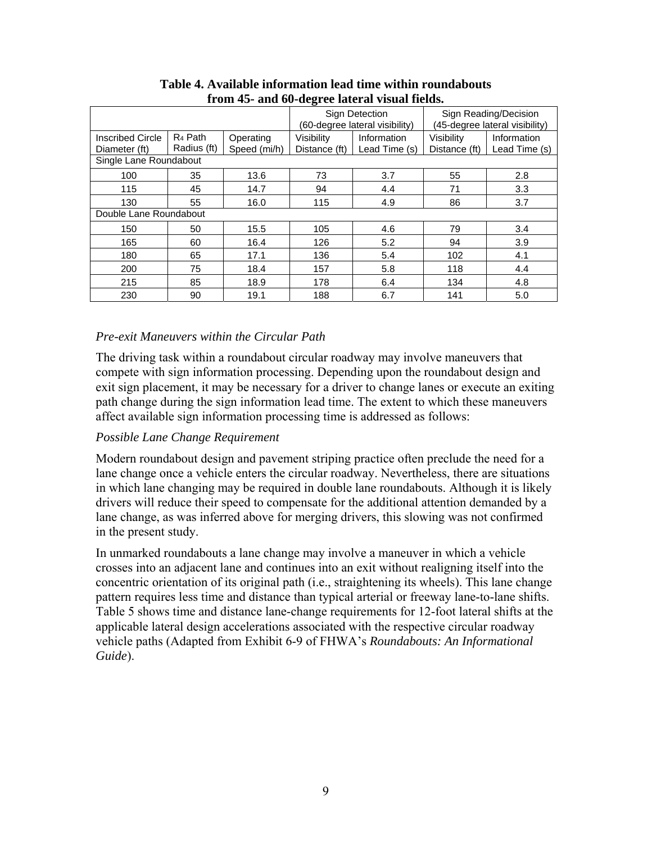|                        |                     |              | Sign Detection<br>(60-degree lateral visibility) |               | Sign Reading/Decision<br>(45-degree lateral visibility) |               |
|------------------------|---------------------|--------------|--------------------------------------------------|---------------|---------------------------------------------------------|---------------|
| Inscribed Circle       | R <sub>4</sub> Path | Operating    | Visibility                                       | Information   | Visibility                                              | Information   |
| Diameter (ft)          | Radius (ft)         | Speed (mi/h) | Distance (ft)                                    | Lead Time (s) | Distance (ft)                                           | Lead Time (s) |
| Single Lane Roundabout |                     |              |                                                  |               |                                                         |               |
| 100                    | 35                  | 13.6         | 73                                               | 3.7           | 55                                                      | 2.8           |
| 115                    | 45                  | 14.7         | 94                                               | 4.4           | 71                                                      | 3.3           |
| 130                    | 55                  | 16.0         | 115                                              | 4.9           | 86                                                      | 3.7           |
| Double Lane Roundabout |                     |              |                                                  |               |                                                         |               |
| 150                    | 50                  | 15.5         | 105                                              | 4.6           | 79                                                      | 3.4           |
| 165                    | 60                  | 16.4         | 126                                              | 5.2           | 94                                                      | 3.9           |
| 180                    | 65                  | 17.1         | 136                                              | 5.4           | 102                                                     | 4.1           |
| 200                    | 75                  | 18.4         | 157                                              | 5.8           | 118                                                     | 4.4           |
| 215                    | 85                  | 18.9         | 178                                              | 6.4           | 134                                                     | 4.8           |
| 230                    | 90                  | 19.1         | 188                                              | 6.7           | 141                                                     | 5.0           |

#### **Table 4. Available information lead time within roundabouts from 45- and 60-degree lateral visual fields.**

## *Pre-exit Maneuvers within the Circular Path*

The driving task within a roundabout circular roadway may involve maneuvers that compete with sign information processing. Depending upon the roundabout design and exit sign placement, it may be necessary for a driver to change lanes or execute an exiting path change during the sign information lead time. The extent to which these maneuvers affect available sign information processing time is addressed as follows:

## *Possible Lane Change Requirement*

Modern roundabout design and pavement striping practice often preclude the need for a lane change once a vehicle enters the circular roadway. Nevertheless, there are situations in which lane changing may be required in double lane roundabouts. Although it is likely drivers will reduce their speed to compensate for the additional attention demanded by a lane change, as was inferred above for merging drivers, this slowing was not confirmed in the present study.

In unmarked roundabouts a lane change may involve a maneuver in which a vehicle crosses into an adjacent lane and continues into an exit without realigning itself into the concentric orientation of its original path (i.e., straightening its wheels). This lane change pattern requires less time and distance than typical arterial or freeway lane-to-lane shifts. Table 5 shows time and distance lane-change requirements for 12-foot lateral shifts at the applicable lateral design accelerations associated with the respective circular roadway vehicle paths (Adapted from Exhibit 6-9 of FHWA's *Roundabouts: An Informational Guide*).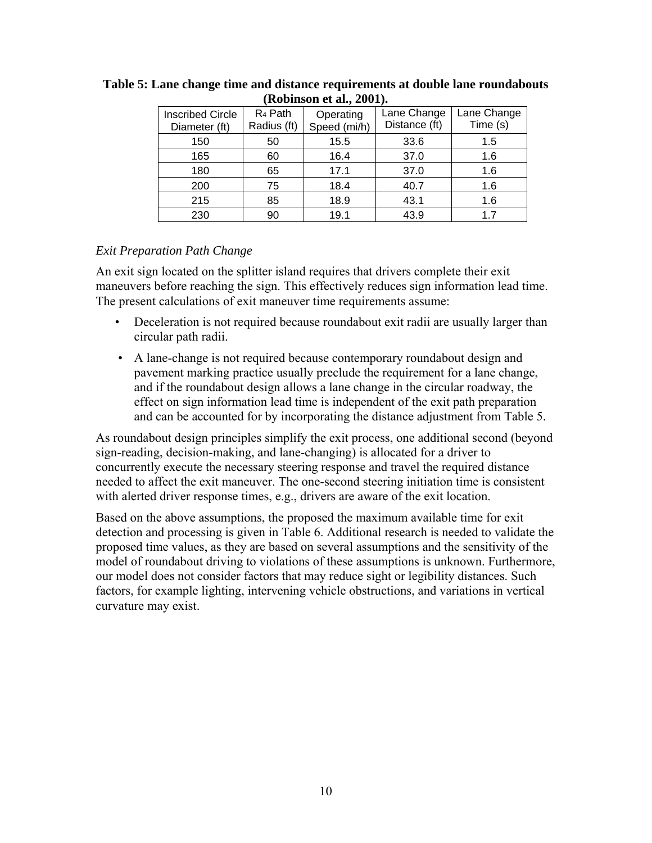| <b>Inscribed Circle</b><br>Diameter (ft) | R <sub>4</sub> Path<br>Radius (ft) | Operating<br>Speed (mi/h) | Lane Change<br>Distance (ft) | Lane Change<br>Time (s) |  |  |  |
|------------------------------------------|------------------------------------|---------------------------|------------------------------|-------------------------|--|--|--|
| 150                                      | 50                                 | 15.5                      | 33.6                         | 1.5                     |  |  |  |
| 165                                      | 60                                 | 16.4                      | 37.0                         | 1.6                     |  |  |  |
| 180                                      | 65                                 | 17.1                      | 37.0                         | 1.6                     |  |  |  |
| 200                                      | 75                                 | 18.4                      | 40.7                         | 1.6                     |  |  |  |
| 215                                      | 85                                 | 18.9                      | 43.1                         | 1.6                     |  |  |  |
| 230                                      | 90                                 | 19.1                      | 43.9                         | 17                      |  |  |  |

**Table 5: Lane change time and distance requirements at double lane roundabouts (Robinson et al., 2001).** 

## *Exit Preparation Path Change*

An exit sign located on the splitter island requires that drivers complete their exit maneuvers before reaching the sign. This effectively reduces sign information lead time. The present calculations of exit maneuver time requirements assume:

- Deceleration is not required because roundabout exit radii are usually larger than circular path radii.
- A lane-change is not required because contemporary roundabout design and pavement marking practice usually preclude the requirement for a lane change, and if the roundabout design allows a lane change in the circular roadway, the effect on sign information lead time is independent of the exit path preparation and can be accounted for by incorporating the distance adjustment from Table 5.

As roundabout design principles simplify the exit process, one additional second (beyond sign-reading, decision-making, and lane-changing) is allocated for a driver to concurrently execute the necessary steering response and travel the required distance needed to affect the exit maneuver. The one-second steering initiation time is consistent with alerted driver response times, e.g., drivers are aware of the exit location.

Based on the above assumptions, the proposed the maximum available time for exit detection and processing is given in Table 6. Additional research is needed to validate the proposed time values, as they are based on several assumptions and the sensitivity of the model of roundabout driving to violations of these assumptions is unknown. Furthermore, our model does not consider factors that may reduce sight or legibility distances. Such factors, for example lighting, intervening vehicle obstructions, and variations in vertical curvature may exist.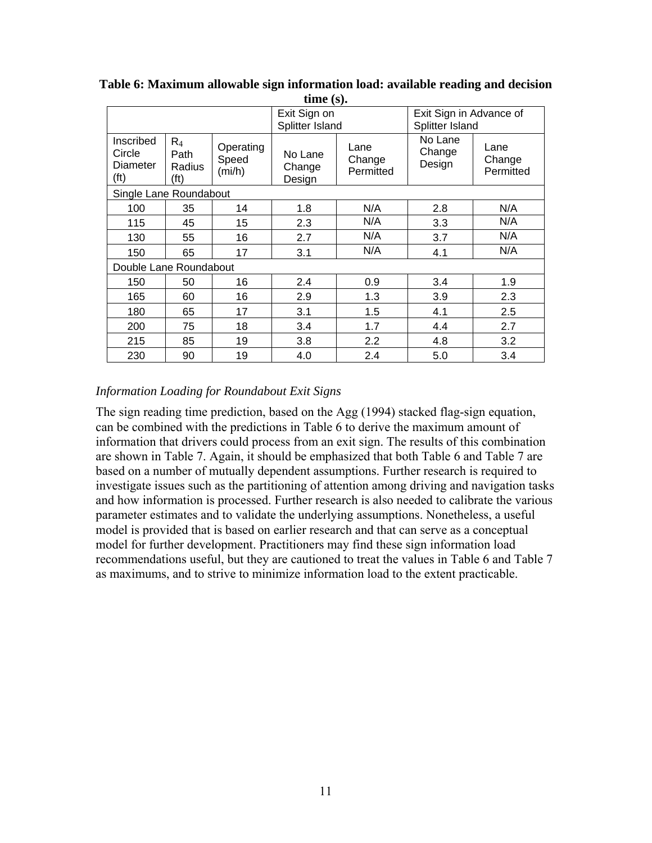| $_{\rm unnc}$ $_{\rm (s)}$ .            |                                        |                              |                                 |                             |                                            |                             |
|-----------------------------------------|----------------------------------------|------------------------------|---------------------------------|-----------------------------|--------------------------------------------|-----------------------------|
|                                         |                                        |                              | Exit Sign on<br>Splitter Island |                             | Exit Sign in Advance of<br>Splitter Island |                             |
| Inscribed<br>Circle<br>Diameter<br>(ft) | $R_4$<br>Path<br><b>Radius</b><br>(ft) | Operating<br>Speed<br>(mi/h) | No Lane<br>Change<br>Design     | Lane<br>Change<br>Permitted | No Lane<br>Change<br>Design                | Lane<br>Change<br>Permitted |
| Single Lane Roundabout                  |                                        |                              |                                 |                             |                                            |                             |
| 100                                     | 35                                     | 14                           | 1.8                             | N/A                         | 2.8                                        | N/A                         |
| 115                                     | 45                                     | 15                           | 2.3                             | N/A                         | 3.3                                        | N/A                         |
| 130                                     | 55                                     | 16                           | 2.7                             | N/A                         | 3.7                                        | N/A                         |
| 150                                     | 65                                     | 17                           | 3.1                             | N/A                         | 4.1                                        | N/A                         |
| Double Lane Roundabout                  |                                        |                              |                                 |                             |                                            |                             |
| 150                                     | 50                                     | 16                           | 2.4                             | 0.9                         | 3.4                                        | 1.9                         |
| 165                                     | 60                                     | 16                           | 2.9                             | 1.3                         | 3.9                                        | 2.3                         |
| 180                                     | 65                                     | 17                           | 3.1                             | 1.5                         | 4.1                                        | 2.5                         |
| 200                                     | 75                                     | 18                           | 3.4                             | 1.7                         | 4.4                                        | 2.7                         |
| 215                                     | 85                                     | 19                           | 3.8                             | 2.2                         | 4.8                                        | 3.2                         |
| 230                                     | 90                                     | 19                           | 4.0                             | 2.4                         | 5.0                                        | 3.4                         |

**Table 6: Maximum allowable sign information load: available reading and decision time (s).** 

## *Information Loading for Roundabout Exit Signs*

The sign reading time prediction, based on the Agg (1994) stacked flag-sign equation, can be combined with the predictions in Table 6 to derive the maximum amount of information that drivers could process from an exit sign. The results of this combination are shown in Table 7. Again, it should be emphasized that both Table 6 and Table 7 are based on a number of mutually dependent assumptions. Further research is required to investigate issues such as the partitioning of attention among driving and navigation tasks and how information is processed. Further research is also needed to calibrate the various parameter estimates and to validate the underlying assumptions. Nonetheless, a useful model is provided that is based on earlier research and that can serve as a conceptual model for further development. Practitioners may find these sign information load recommendations useful, but they are cautioned to treat the values in Table 6 and Table 7 as maximums, and to strive to minimize information load to the extent practicable.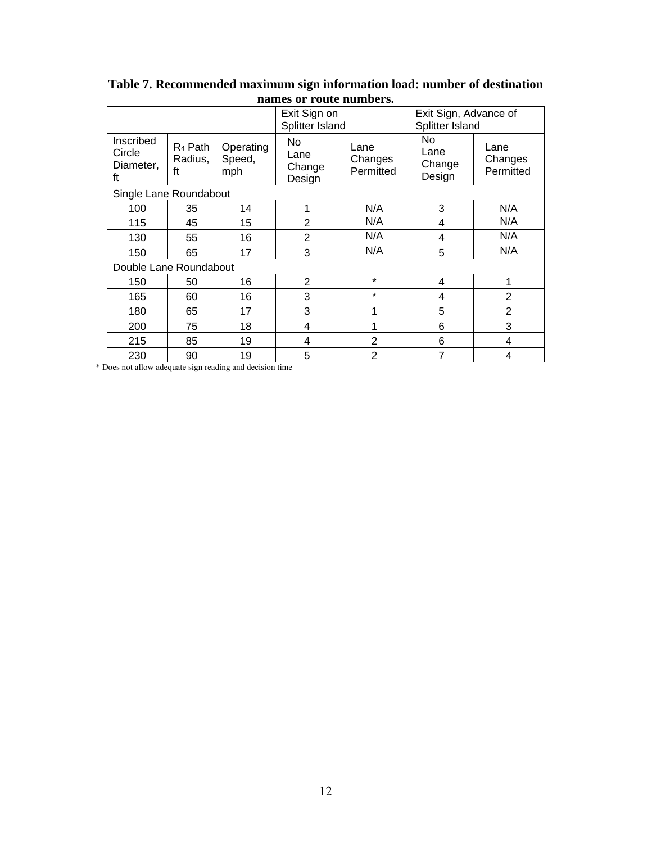|                                        |                                      |                            | Exit Sign on<br>Splitter Island |                              | Exit Sign, Advance of<br>Splitter Island |                              |
|----------------------------------------|--------------------------------------|----------------------------|---------------------------------|------------------------------|------------------------------------------|------------------------------|
| Inscribed<br>Circle<br>Diameter,<br>ft | R <sub>4</sub> Path<br>Radius,<br>ft | Operating<br>Speed,<br>mph | No.<br>Lane<br>Change<br>Design | Lane<br>Changes<br>Permitted | No<br>Lane<br>Change<br>Design           | Lane<br>Changes<br>Permitted |
| Single Lane Roundabout                 |                                      |                            |                                 |                              |                                          |                              |
| 100                                    | 35                                   | 14                         | 1                               | N/A                          | 3                                        | N/A                          |
| 115                                    | 45                                   | 15                         | $\overline{2}$                  | N/A                          | 4                                        | N/A                          |
| 130                                    | 55                                   | 16                         | $\overline{2}$                  | N/A                          | 4                                        | N/A                          |
| 150                                    | 65                                   | 17                         | 3                               | N/A                          | 5                                        | N/A                          |
| Double Lane Roundabout                 |                                      |                            |                                 |                              |                                          |                              |
| 150                                    | 50                                   | 16                         | $\overline{2}$                  | $\star$                      | 4                                        | 1                            |
| 165                                    | 60                                   | 16                         | 3                               | $\star$                      | 4                                        | $\overline{2}$               |
| 180                                    | 65                                   | 17                         | 3                               |                              | 5                                        | $\overline{2}$               |
| 200                                    | 75                                   | 18                         | 4                               |                              | 6                                        | 3                            |
| 215                                    | 85                                   | 19                         | 4                               | $\overline{2}$               | 6                                        | 4                            |
| 230                                    | 90                                   | 19                         | 5                               | $\overline{2}$               | 7                                        | 4                            |

**Table 7. Recommended maximum sign information load: number of destination names or route numbers.** 

\* Does not allow adequate sign reading and decision time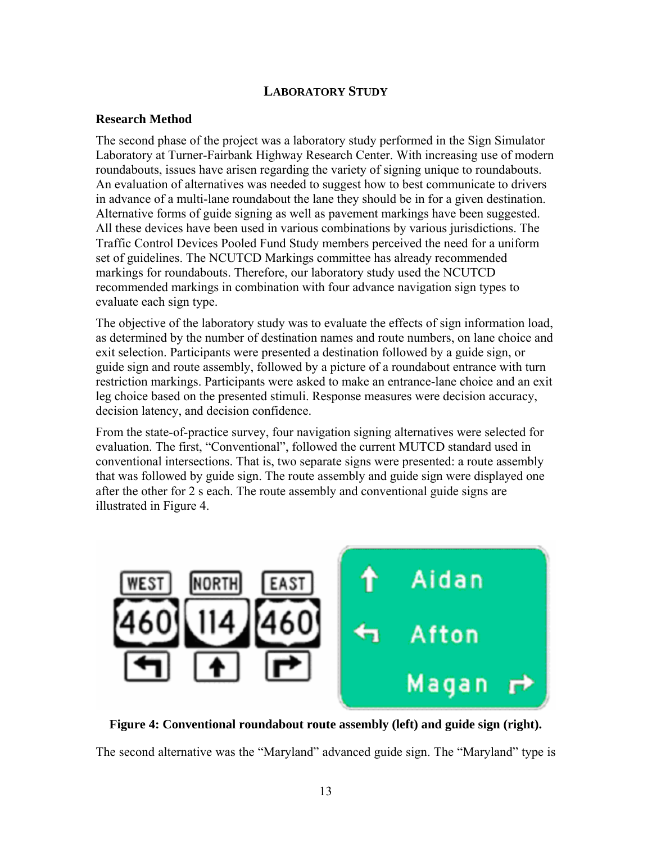## **LABORATORY STUDY**

#### **Research Method**

The second phase of the project was a laboratory study performed in the Sign Simulator Laboratory at Turner-Fairbank Highway Research Center. With increasing use of modern roundabouts, issues have arisen regarding the variety of signing unique to roundabouts. An evaluation of alternatives was needed to suggest how to best communicate to drivers in advance of a multi-lane roundabout the lane they should be in for a given destination. Alternative forms of guide signing as well as pavement markings have been suggested. All these devices have been used in various combinations by various jurisdictions. The Traffic Control Devices Pooled Fund Study members perceived the need for a uniform set of guidelines. The NCUTCD Markings committee has already recommended markings for roundabouts. Therefore, our laboratory study used the NCUTCD recommended markings in combination with four advance navigation sign types to evaluate each sign type.

The objective of the laboratory study was to evaluate the effects of sign information load, as determined by the number of destination names and route numbers, on lane choice and exit selection. Participants were presented a destination followed by a guide sign, or guide sign and route assembly, followed by a picture of a roundabout entrance with turn restriction markings. Participants were asked to make an entrance-lane choice and an exit leg choice based on the presented stimuli. Response measures were decision accuracy, decision latency, and decision confidence.

From the state-of-practice survey, four navigation signing alternatives were selected for evaluation. The first, "Conventional", followed the current MUTCD standard used in conventional intersections. That is, two separate signs were presented: a route assembly that was followed by guide sign. The route assembly and guide sign were displayed one after the other for 2 s each. The route assembly and conventional guide signs are illustrated in Figure 4.



**Figure 4: Conventional roundabout route assembly (left) and guide sign (right).** 

The second alternative was the "Maryland" advanced guide sign. The "Maryland" type is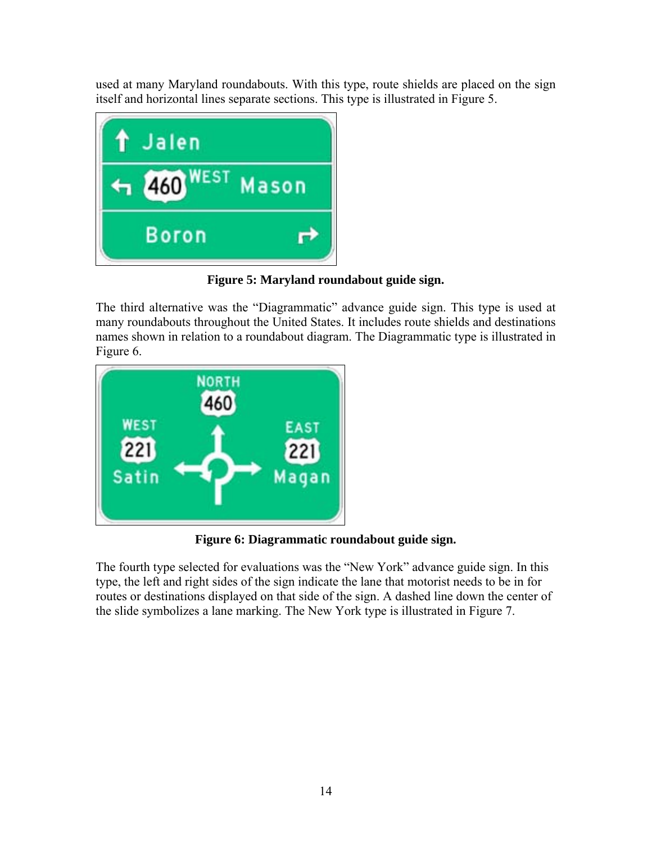used at many Maryland roundabouts. With this type, route shields are placed on the sign itself and horizontal lines separate sections. This type is illustrated in Figure 5.



**Figure 5: Maryland roundabout guide sign.** 

The third alternative was the "Diagrammatic" advance guide sign. This type is used at many roundabouts throughout the United States. It includes route shields and destinations names shown in relation to a roundabout diagram. The Diagrammatic type is illustrated in Figure 6.



**Figure 6: Diagrammatic roundabout guide sign.** 

The fourth type selected for evaluations was the "New York" advance guide sign. In this type, the left and right sides of the sign indicate the lane that motorist needs to be in for routes or destinations displayed on that side of the sign. A dashed line down the center of the slide symbolizes a lane marking. The New York type is illustrated in Figure 7.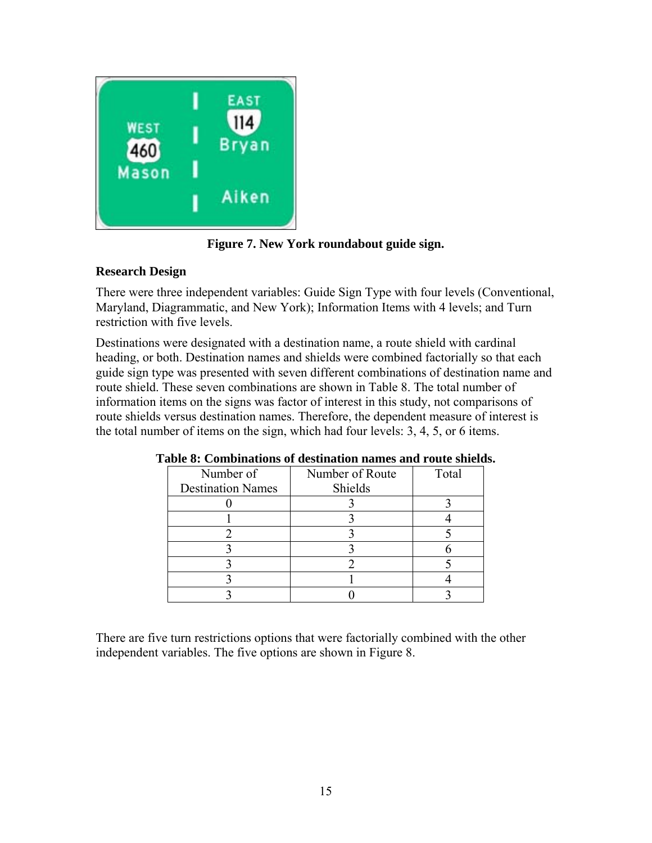

**Figure 7. New York roundabout guide sign.** 

## **Research Design**

There were three independent variables: Guide Sign Type with four levels (Conventional, Maryland, Diagrammatic, and New York); Information Items with 4 levels; and Turn restriction with five levels.

Destinations were designated with a destination name, a route shield with cardinal heading, or both. Destination names and shields were combined factorially so that each guide sign type was presented with seven different combinations of destination name and route shield. These seven combinations are shown in Table 8. The total number of information items on the signs was factor of interest in this study, not comparisons of route shields versus destination names. Therefore, the dependent measure of interest is the total number of items on the sign, which had four levels: 3, 4, 5, or 6 items.

| Number of                | Number of Route | Total |
|--------------------------|-----------------|-------|
| <b>Destination Names</b> | Shields         |       |
|                          |                 |       |
|                          |                 |       |
|                          |                 |       |
|                          |                 |       |
|                          |                 |       |
|                          |                 |       |
|                          |                 |       |

There are five turn restrictions options that were factorially combined with the other independent variables. The five options are shown in Figure 8.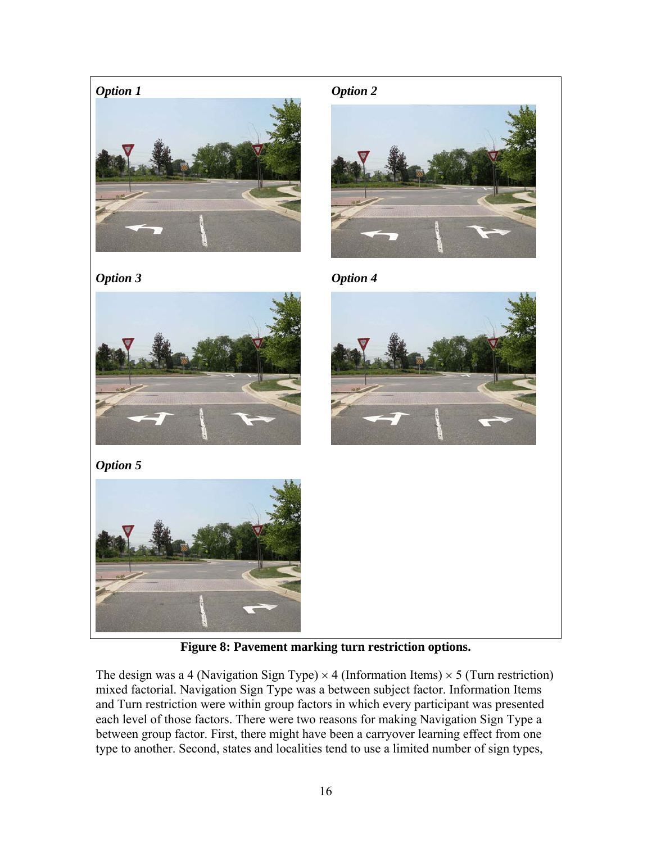## *Option 1 Option 2*









**Figure 8: Pavement marking turn restriction options.** 

The design was a 4 (Navigation Sign Type)  $\times$  4 (Information Items)  $\times$  5 (Turn restriction) mixed factorial. Navigation Sign Type was a between subject factor. Information Items and Turn restriction were within group factors in which every participant was presented each level of those factors. There were two reasons for making Navigation Sign Type a between group factor. First, there might have been a carryover learning effect from one type to another. Second, states and localities tend to use a limited number of sign types,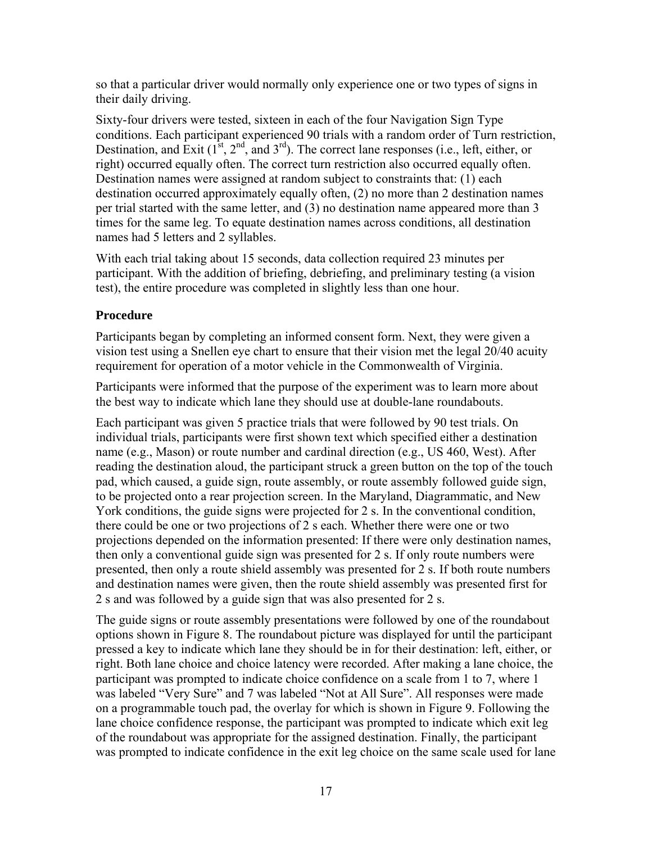so that a particular driver would normally only experience one or two types of signs in their daily driving.

Sixty-four drivers were tested, sixteen in each of the four Navigation Sign Type conditions. Each participant experienced 90 trials with a random order of Turn restriction, Destination, and Exit  $(1^{st}, 2^{nd},$  and  $3^{rd})$ . The correct lane responses (i.e., left, either, or right) occurred equally often. The correct turn restriction also occurred equally often. Destination names were assigned at random subject to constraints that: (1) each destination occurred approximately equally often, (2) no more than 2 destination names per trial started with the same letter, and (3) no destination name appeared more than 3 times for the same leg. To equate destination names across conditions, all destination names had 5 letters and 2 syllables.

With each trial taking about 15 seconds, data collection required 23 minutes per participant. With the addition of briefing, debriefing, and preliminary testing (a vision test), the entire procedure was completed in slightly less than one hour.

## **Procedure**

Participants began by completing an informed consent form. Next, they were given a vision test using a Snellen eye chart to ensure that their vision met the legal 20/40 acuity requirement for operation of a motor vehicle in the Commonwealth of Virginia.

Participants were informed that the purpose of the experiment was to learn more about the best way to indicate which lane they should use at double-lane roundabouts.

Each participant was given 5 practice trials that were followed by 90 test trials. On individual trials, participants were first shown text which specified either a destination name (e.g., Mason) or route number and cardinal direction (e.g., US 460, West). After reading the destination aloud, the participant struck a green button on the top of the touch pad, which caused, a guide sign, route assembly, or route assembly followed guide sign, to be projected onto a rear projection screen. In the Maryland, Diagrammatic, and New York conditions, the guide signs were projected for 2 s. In the conventional condition, there could be one or two projections of 2 s each. Whether there were one or two projections depended on the information presented: If there were only destination names, then only a conventional guide sign was presented for 2 s. If only route numbers were presented, then only a route shield assembly was presented for 2 s. If both route numbers and destination names were given, then the route shield assembly was presented first for 2 s and was followed by a guide sign that was also presented for 2 s.

The guide signs or route assembly presentations were followed by one of the roundabout options shown in Figure 8. The roundabout picture was displayed for until the participant pressed a key to indicate which lane they should be in for their destination: left, either, or right. Both lane choice and choice latency were recorded. After making a lane choice, the participant was prompted to indicate choice confidence on a scale from 1 to 7, where 1 was labeled "Very Sure" and 7 was labeled "Not at All Sure". All responses were made on a programmable touch pad, the overlay for which is shown in Figure 9. Following the lane choice confidence response, the participant was prompted to indicate which exit leg of the roundabout was appropriate for the assigned destination. Finally, the participant was prompted to indicate confidence in the exit leg choice on the same scale used for lane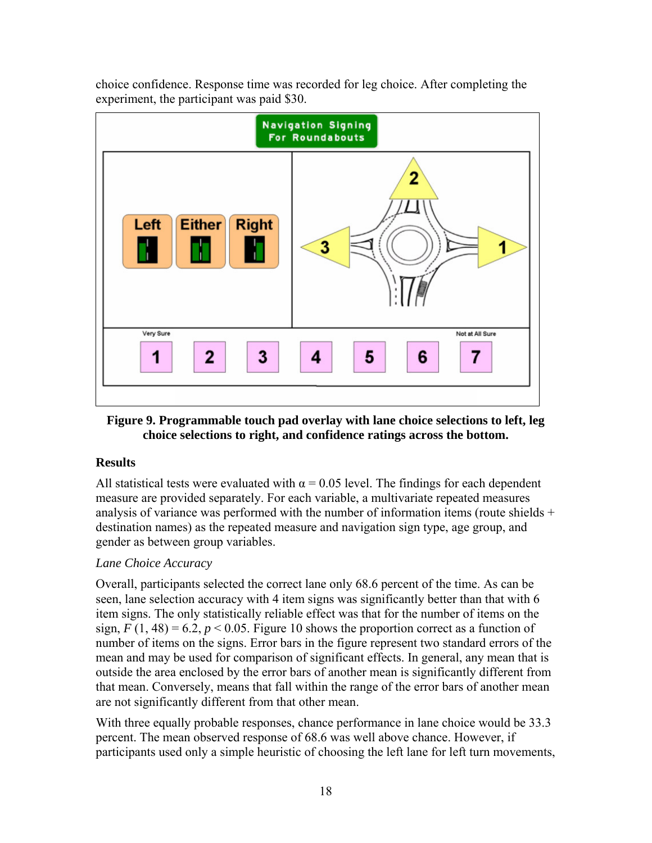choice confidence. Response time was recorded for leg choice. After completing the experiment, the participant was paid \$30.



## **Figure 9. Programmable touch pad overlay with lane choice selections to left, leg choice selections to right, and confidence ratings across the bottom.**

## **Results**

All statistical tests were evaluated with  $\alpha = 0.05$  level. The findings for each dependent measure are provided separately. For each variable, a multivariate repeated measures analysis of variance was performed with the number of information items (route shields  $+$ destination names) as the repeated measure and navigation sign type, age group, and gender as between group variables.

## *Lane Choice Accuracy*

Overall, participants selected the correct lane only 68.6 percent of the time. As can be seen, lane selection accuracy with 4 item signs was significantly better than that with 6 item signs. The only statistically reliable effect was that for the number of items on the sign,  $F(1, 48) = 6.2$ ,  $p < 0.05$ . Figure 10 shows the proportion correct as a function of number of items on the signs. Error bars in the figure represent two standard errors of the mean and may be used for comparison of significant effects. In general, any mean that is outside the area enclosed by the error bars of another mean is significantly different from that mean. Conversely, means that fall within the range of the error bars of another mean are not significantly different from that other mean.

With three equally probable responses, chance performance in lane choice would be 33.3 percent. The mean observed response of 68.6 was well above chance. However, if participants used only a simple heuristic of choosing the left lane for left turn movements,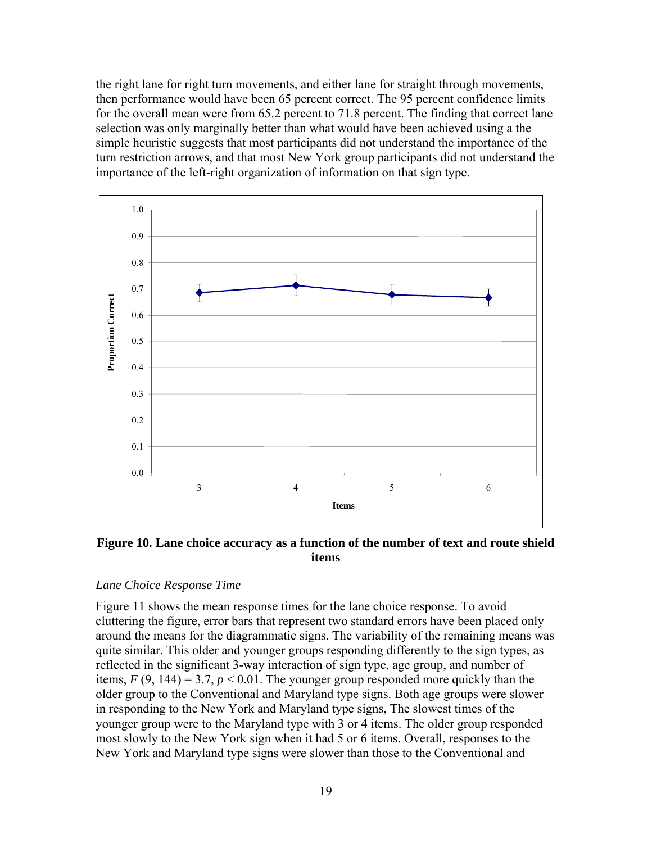the right lane for right turn movements, and either lane for straight through movements, then performance would have been 65 percent correct. The 95 percent confidence limits for the overall mean were from 65.2 percent to 71.8 percent. The finding that correct lane selection was only marginally better than what would have been achieved using a the simple heuristic suggests that most participants did not understand the importance of the turn restriction arrows, and that most New York group participants did not understand the importance of the left-right organization of information on that sign type.



**Figure 10. Lane choice accuracy as a function of the number of text and route shield items** 

#### *Lane Choice Response Time*

Figure 11 shows the mean response times for the lane choice response. To avoid cluttering the figure, error bars that represent two standard errors have been placed only around the means for the diagrammatic signs. The variability of the remaining means was quite similar. This older and younger groups responding differently to the sign types, as reflected in the significant 3-way interaction of sign type, age group, and number of items,  $F(9, 144) = 3.7$ ,  $p < 0.01$ . The younger group responded more quickly than the older group to the Conventional and Maryland type signs. Both age groups were slower in responding to the New York and Maryland type signs, The slowest times of the younger group were to the Maryland type with 3 or 4 items. The older group responded most slowly to the New York sign when it had 5 or 6 items. Overall, responses to the New York and Maryland type signs were slower than those to the Conventional and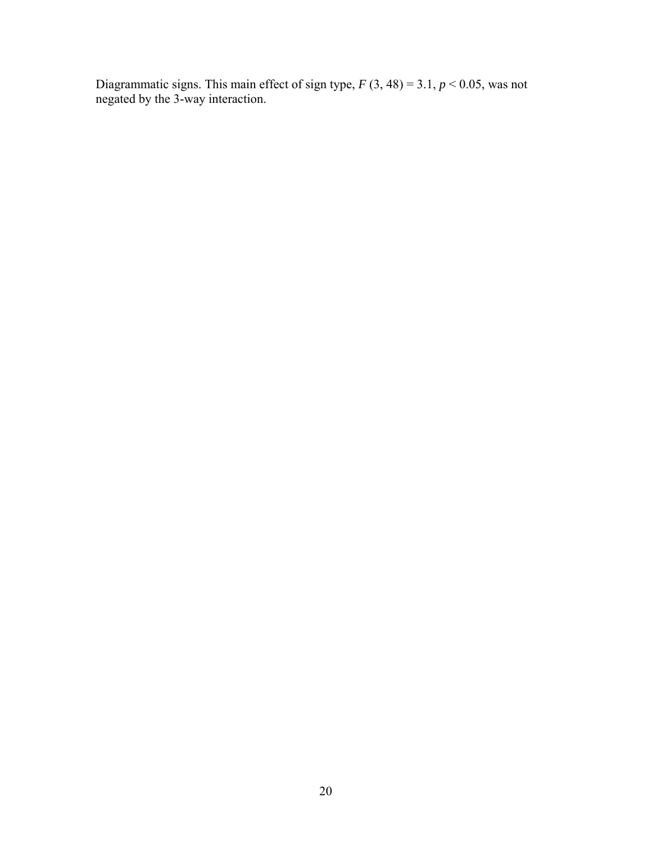Diagrammatic signs. This main effect of sign type,  $F(3, 48) = 3.1, p < 0.05$ , was not negated by the 3-way interaction.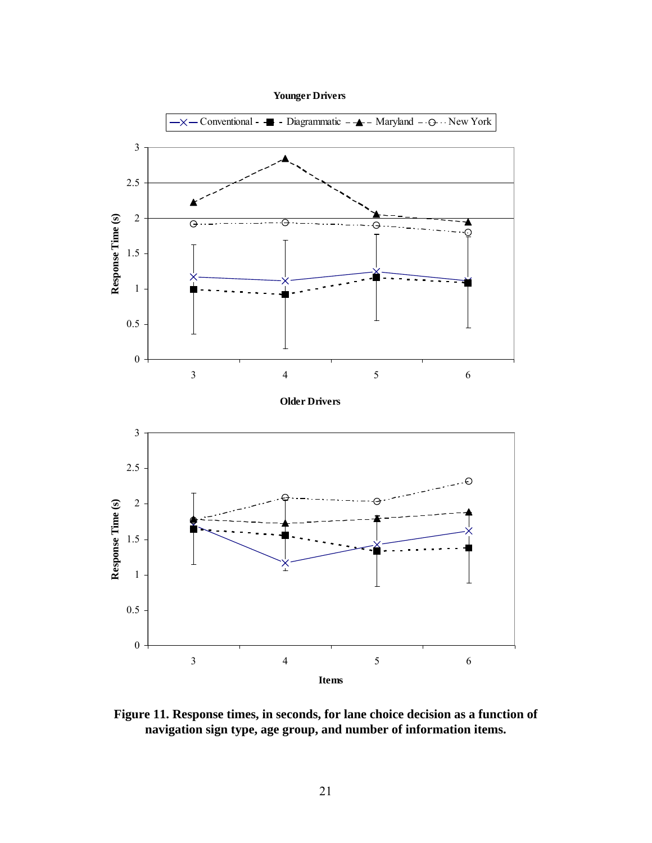

**Figure 11. Response times, in seconds, for lane choice decision as a function of navigation sign type, age group, and number of information items.**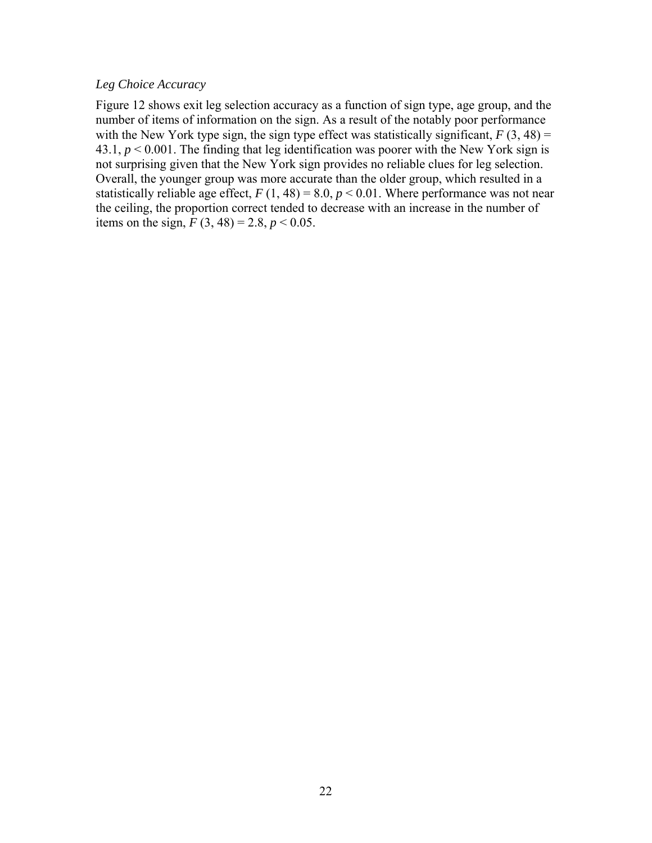#### *Leg Choice Accuracy*

Figure 12 shows exit leg selection accuracy as a function of sign type, age group, and the number of items of information on the sign. As a result of the notably poor performance with the New York type sign, the sign type effect was statistically significant,  $F(3, 48) =$ 43.1,  $p < 0.001$ . The finding that leg identification was poorer with the New York sign is not surprising given that the New York sign provides no reliable clues for leg selection. Overall, the younger group was more accurate than the older group, which resulted in a statistically reliable age effect,  $F(1, 48) = 8.0, p < 0.01$ . Where performance was not near the ceiling, the proportion correct tended to decrease with an increase in the number of items on the sign,  $F(3, 48) = 2.8$ ,  $p < 0.05$ .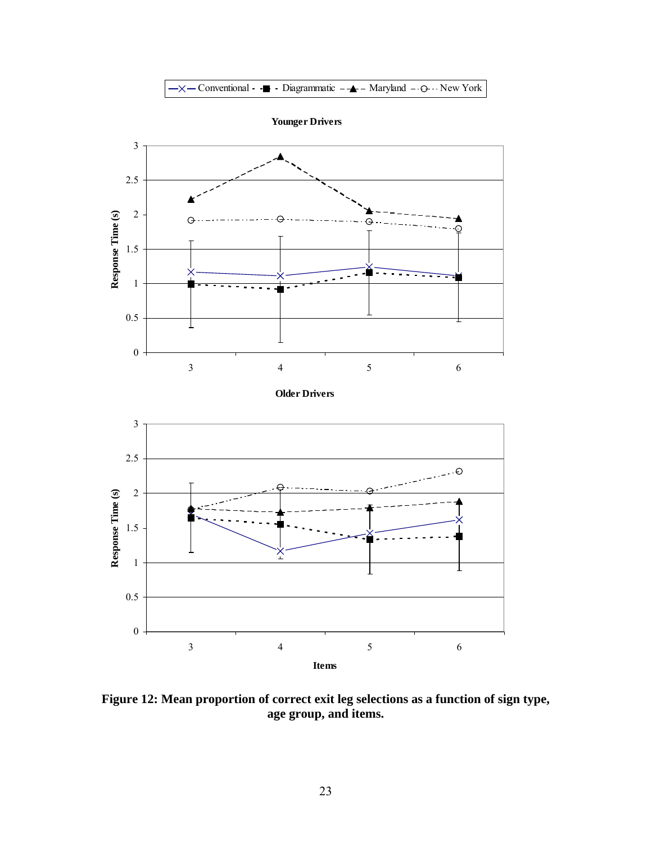

**Figure 12: Mean proportion of correct exit leg selections as a function of sign type, age group, and items.**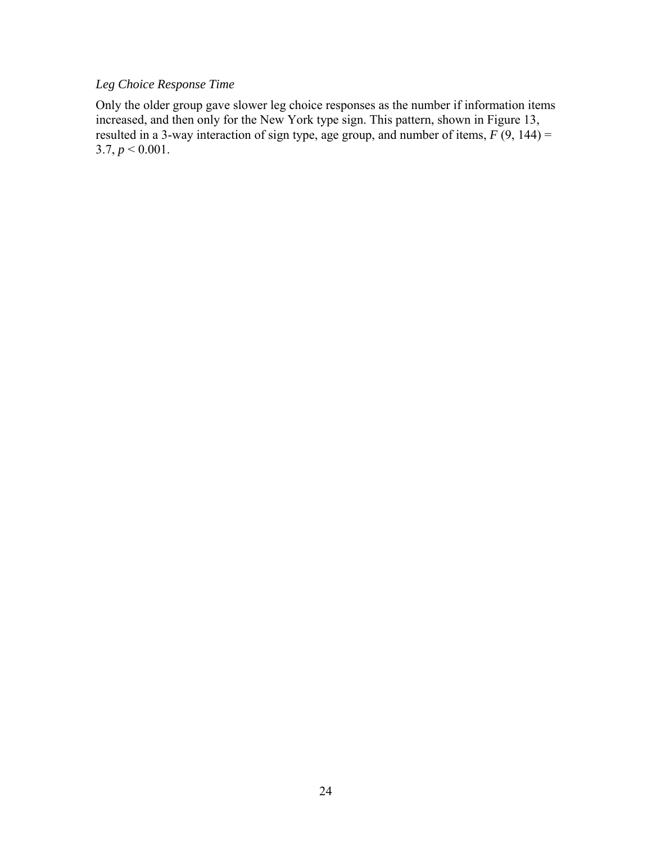## *Leg Choice Response Time*

Only the older group gave slower leg choice responses as the number if information items increased, and then only for the New York type sign. This pattern, shown in Figure 13, resulted in a 3-way interaction of sign type, age group, and number of items,  $F(9, 144) =$  $3.7, p \le 0.001$ .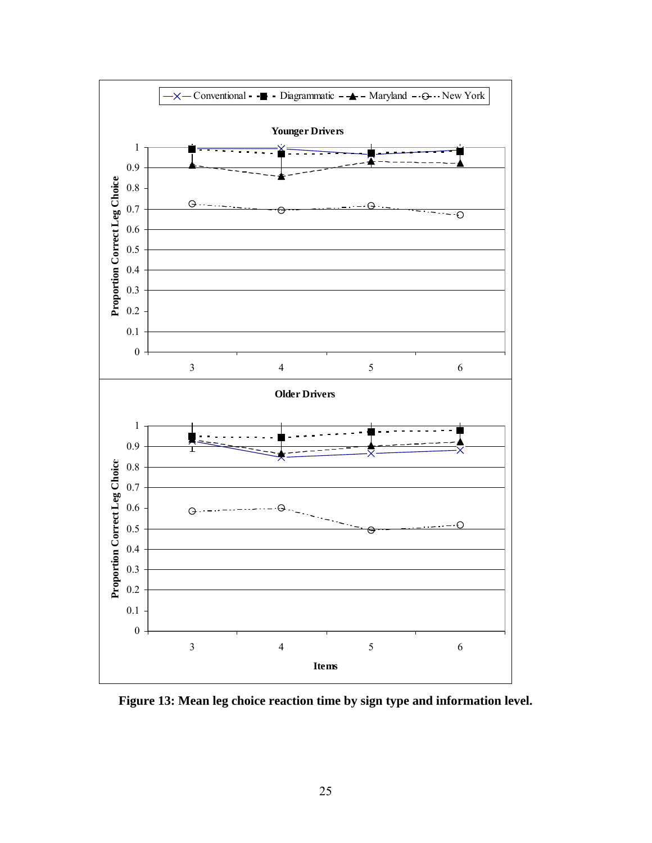

**Figure 13: Mean leg choice reaction time by sign type and information level.**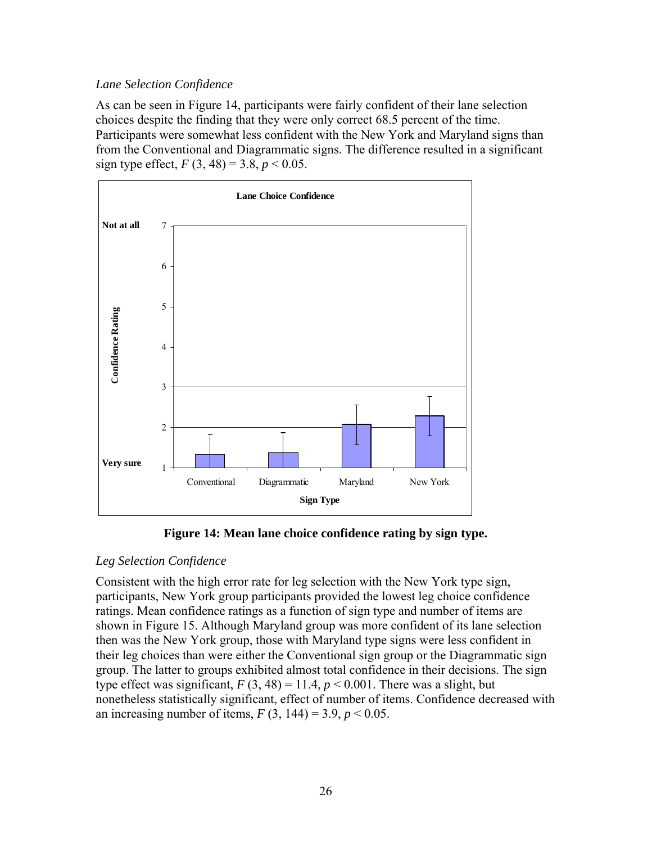## *Lane Selection Confidence*

As can be seen in Figure 14, participants were fairly confident of their lane selection choices despite the finding that they were only correct 68.5 percent of the time. Participants were somewhat less confident with the New York and Maryland signs than from the Conventional and Diagrammatic signs. The difference resulted in a significant sign type effect,  $F(3, 48) = 3.8, p < 0.05$ .



**Figure 14: Mean lane choice confidence rating by sign type.** 

## *Leg Selection Confidence*

Consistent with the high error rate for leg selection with the New York type sign, participants, New York group participants provided the lowest leg choice confidence ratings. Mean confidence ratings as a function of sign type and number of items are shown in Figure 15. Although Maryland group was more confident of its lane selection then was the New York group, those with Maryland type signs were less confident in their leg choices than were either the Conventional sign group or the Diagrammatic sign group. The latter to groups exhibited almost total confidence in their decisions. The sign type effect was significant,  $F(3, 48) = 11.4$ ,  $p < 0.001$ . There was a slight, but nonetheless statistically significant, effect of number of items. Confidence decreased with an increasing number of items,  $F(3, 144) = 3.9, p < 0.05$ .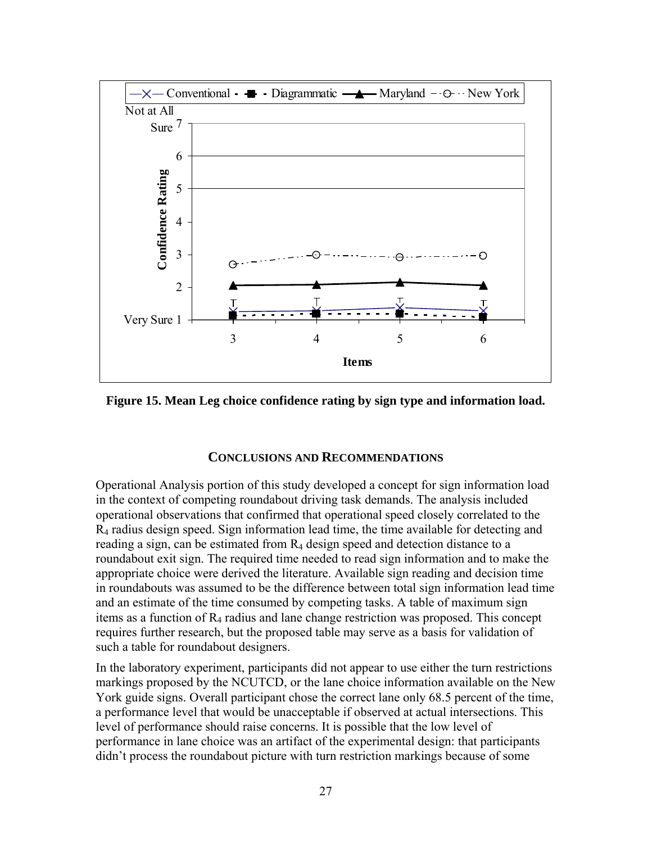

**Figure 15. Mean Leg choice confidence rating by sign type and information load.** 

#### **CONCLUSIONS AND RECOMMENDATIONS**

Operational Analysis portion of this study developed a concept for sign information load in the context of competing roundabout driving task demands. The analysis included operational observations that confirmed that operational speed closely correlated to the  $R<sub>4</sub>$  radius design speed. Sign information lead time, the time available for detecting and reading a sign, can be estimated from R4 design speed and detection distance to a roundabout exit sign. The required time needed to read sign information and to make the appropriate choice were derived the literature. Available sign reading and decision time in roundabouts was assumed to be the difference between total sign information lead time and an estimate of the time consumed by competing tasks. A table of maximum sign items as a function of  $R_4$  radius and lane change restriction was proposed. This concept requires further research, but the proposed table may serve as a basis for validation of such a table for roundabout designers.

In the laboratory experiment, participants did not appear to use either the turn restrictions markings proposed by the NCUTCD, or the lane choice information available on the New York guide signs. Overall participant chose the correct lane only 68.5 percent of the time, a performance level that would be unacceptable if observed at actual intersections. This level of performance should raise concerns. It is possible that the low level of performance in lane choice was an artifact of the experimental design: that participants didn't process the roundabout picture with turn restriction markings because of some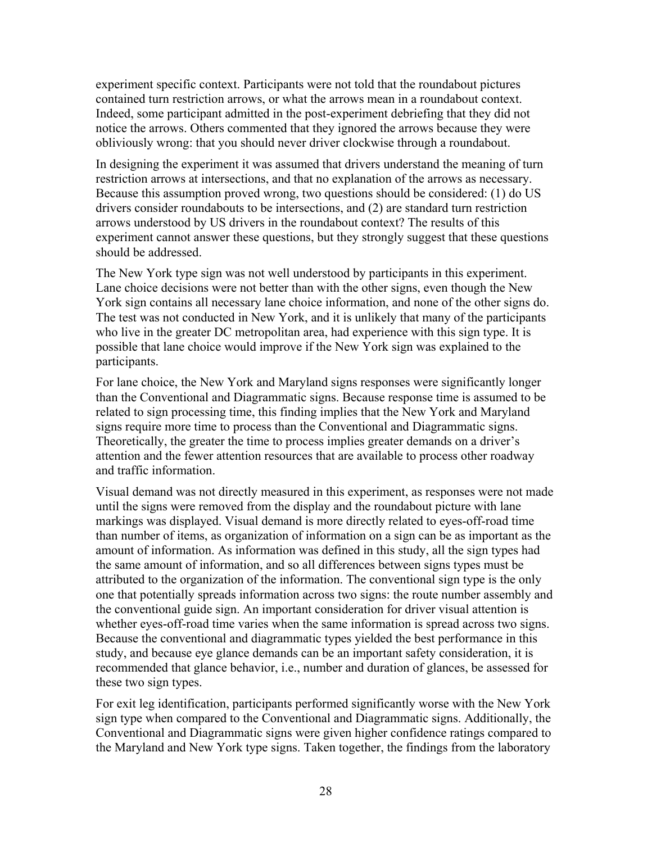experiment specific context. Participants were not told that the roundabout pictures contained turn restriction arrows, or what the arrows mean in a roundabout context. Indeed, some participant admitted in the post-experiment debriefing that they did not notice the arrows. Others commented that they ignored the arrows because they were obliviously wrong: that you should never driver clockwise through a roundabout.

In designing the experiment it was assumed that drivers understand the meaning of turn restriction arrows at intersections, and that no explanation of the arrows as necessary. Because this assumption proved wrong, two questions should be considered: (1) do US drivers consider roundabouts to be intersections, and (2) are standard turn restriction arrows understood by US drivers in the roundabout context? The results of this experiment cannot answer these questions, but they strongly suggest that these questions should be addressed.

The New York type sign was not well understood by participants in this experiment. Lane choice decisions were not better than with the other signs, even though the New York sign contains all necessary lane choice information, and none of the other signs do. The test was not conducted in New York, and it is unlikely that many of the participants who live in the greater DC metropolitan area, had experience with this sign type. It is possible that lane choice would improve if the New York sign was explained to the participants.

For lane choice, the New York and Maryland signs responses were significantly longer than the Conventional and Diagrammatic signs. Because response time is assumed to be related to sign processing time, this finding implies that the New York and Maryland signs require more time to process than the Conventional and Diagrammatic signs. Theoretically, the greater the time to process implies greater demands on a driver's attention and the fewer attention resources that are available to process other roadway and traffic information.

Visual demand was not directly measured in this experiment, as responses were not made until the signs were removed from the display and the roundabout picture with lane markings was displayed. Visual demand is more directly related to eyes-off-road time than number of items, as organization of information on a sign can be as important as the amount of information. As information was defined in this study, all the sign types had the same amount of information, and so all differences between signs types must be attributed to the organization of the information. The conventional sign type is the only one that potentially spreads information across two signs: the route number assembly and the conventional guide sign. An important consideration for driver visual attention is whether eyes-off-road time varies when the same information is spread across two signs. Because the conventional and diagrammatic types yielded the best performance in this study, and because eye glance demands can be an important safety consideration, it is recommended that glance behavior, i.e., number and duration of glances, be assessed for these two sign types.

For exit leg identification, participants performed significantly worse with the New York sign type when compared to the Conventional and Diagrammatic signs. Additionally, the Conventional and Diagrammatic signs were given higher confidence ratings compared to the Maryland and New York type signs. Taken together, the findings from the laboratory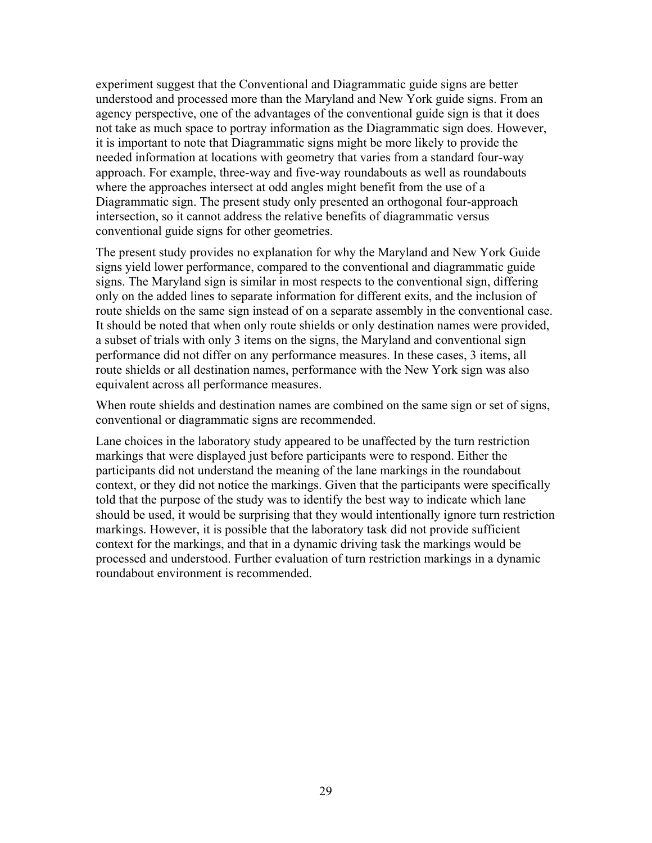experiment suggest that the Conventional and Diagrammatic guide signs are better understood and processed more than the Maryland and New York guide signs. From an agency perspective, one of the advantages of the conventional guide sign is that it does not take as much space to portray information as the Diagrammatic sign does. However, it is important to note that Diagrammatic signs might be more likely to provide the needed information at locations with geometry that varies from a standard four-way approach. For example, three-way and five-way roundabouts as well as roundabouts where the approaches intersect at odd angles might benefit from the use of a Diagrammatic sign. The present study only presented an orthogonal four-approach intersection, so it cannot address the relative benefits of diagrammatic versus conventional guide signs for other geometries.

The present study provides no explanation for why the Maryland and New York Guide signs yield lower performance, compared to the conventional and diagrammatic guide signs. The Maryland sign is similar in most respects to the conventional sign, differing only on the added lines to separate information for different exits, and the inclusion of route shields on the same sign instead of on a separate assembly in the conventional case. It should be noted that when only route shields or only destination names were provided, a subset of trials with only 3 items on the signs, the Maryland and conventional sign performance did not differ on any performance measures. In these cases, 3 items, all route shields or all destination names, performance with the New York sign was also equivalent across all performance measures.

When route shields and destination names are combined on the same sign or set of signs, conventional or diagrammatic signs are recommended.

Lane choices in the laboratory study appeared to be unaffected by the turn restriction markings that were displayed just before participants were to respond. Either the participants did not understand the meaning of the lane markings in the roundabout context, or they did not notice the markings. Given that the participants were specifically told that the purpose of the study was to identify the best way to indicate which lane should be used, it would be surprising that they would intentionally ignore turn restriction markings. However, it is possible that the laboratory task did not provide sufficient context for the markings, and that in a dynamic driving task the markings would be processed and understood. Further evaluation of turn restriction markings in a dynamic roundabout environment is recommended.